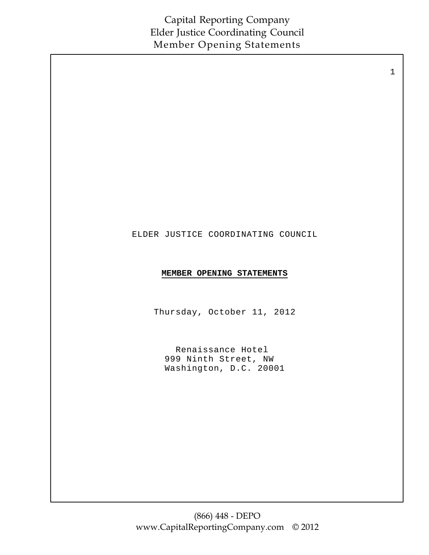1

#### ELDER JUSTICE COORDINATING COUNCIL

#### **MEMBER OPENING STATEMENTS**

Thursday, October 11, 2012

Renaissance Hotel 999 Ninth Street, NW Washington, D.C. 20001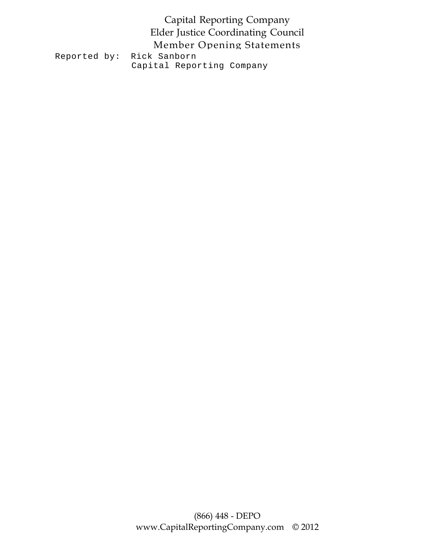#### Capital Reporting Company Elder Justice Coordinating Council Member Opening Statements Reported by: Rick Sanborn Capital Reporting Company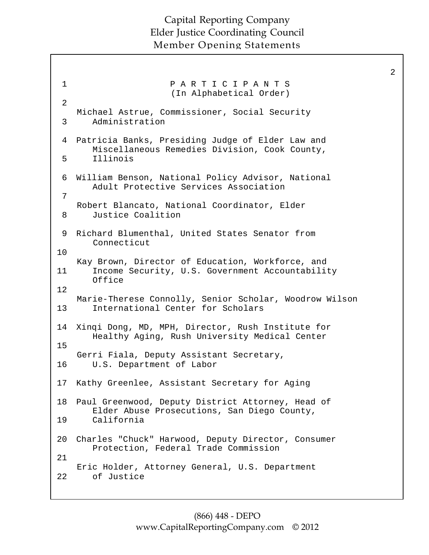```
1 P A R T I C I P A N T S 
                      (In Alphabetical Order) 
 2 
   Michael Astrue, Commissioner, Social Security
      Administration 
   Patricia Banks, Presiding Judge of Elder Law and 
      Miscellaneous Remedies Division, Cook County,
      Illinois
 William Benson, National Policy Advisor, National
6 
      Adult Protective Services Association
   Robert Blancato, National Coordinator, Elder
      Justice Coalition 
 9 Richard Blumenthal, United States Senator from
      Connecticut
   Kay Brown, Director of Education, Workforce, and
       Income Security, U.S. Government Accountability 
      Office
   Marie-Therese Connolly, Senior Scholar, Woodrow Wilson
       International Center for Scholars
14 Xinqi Dong, MD, MPH, Director, Rush Institute for
       Healthy Aging, Rush University Medical Center
   Gerri Fiala, Deputy Assistant Secretary,
      U.S. Department of Labor 
17  Kathy Greenlee, Assistant Secretary for Aging
   Paul Greenwood, Deputy District Attorney, Head of
       Elder Abuse Prosecutions, San Diego County,
       California
Charles "Chuck" Harwood, Deputy Director, Consumer 
20 
      Protection, Federal Trade Commission
   Eric Holder, Attorney General, U.S. Department
      of Justice 
 3 
 4 
 5 
 7 
 8 
10 
11 
12 
13 
15 
16 
18 
19 
21 
22
```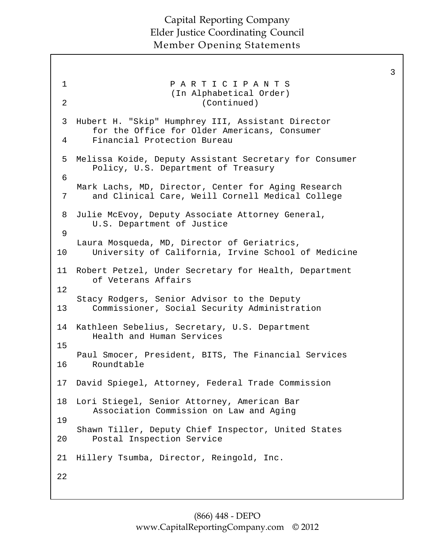```
1 P A R T I C I P A N T S 
                      (In Alphabetical Order) 
 2 (Continued) 
 3 Hubert H. "Skip" Humphrey III, Assistant Director 
       for the Office for Older Americans, Consumer 
      Financial Protection Bureau 
 Melissa Koide, Deputy Assistant Secretary for Consumer 
5 
      Policy, U.S. Department of Treasury
   Mark Lachs, MD, Director, Center for Aging Research
      and Clinical Care, Weill Cornell Medical College 
   Julie McEvoy, Deputy Associate Attorney General, 
      U.S. Department of Justice 
   Laura Mosqueda, MD, Director of Geriatrics,
      University of California, Irvine School of Medicine 
Robert Petzel, Under Secretary for Health, Department 
11 
      of Veterans Affairs 
   Stacy Rodgers, Senior Advisor to the Deputy
      Commissioner, Social Security Administration 
14  Kathleen Sebelius, Secretary, U.S. Department
      Health and Human Services
   Paul Smocer, President, BITS, The Financial Services
      Roundtable 
  David Spiegel, Attorney, Federal Trade Commission
   Lori Stiegel, Senior Attorney, American Bar 
       Association Commission on Law and Aging
   Shawn Tiller, Deputy Chief Inspector, United States
      Postal Inspection Service 
   Hillery Tsumba, Director, Reingold, Inc. 
 4 
 6 
 7 
 8 
 9 
10 
12 
13 
15 
16 
17 
18 
19 
20 
21 
22
```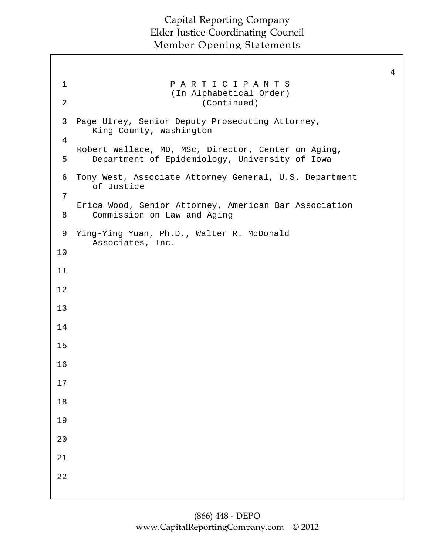```
1 P A R T I C I P A N T S 
                      (In Alphabetical Order) 
 2 (Continued) 
 3 Page Ulrey, Senior Deputy Prosecuting Attorney, 
      King County, Washington 
   Robert Wallace, MD, MSc, Director, Center on Aging,
      Department of Epidemiology, University of Iowa 
   Tony West, Associate Attorney General, U.S. Department 
      of Justice 
   Erica Wood, Senior Attorney, American Bar Association
      Commission on Law and Aging 
   Ying-Ying Yuan, Ph.D., Walter R. McDonald 
      Associates, Inc.
 4 
 5 
 6 
 7 
 8 
 9 
10 
11 
12 
13 
14 
15 
16 
17 
18 
19 
20 
21 
22
```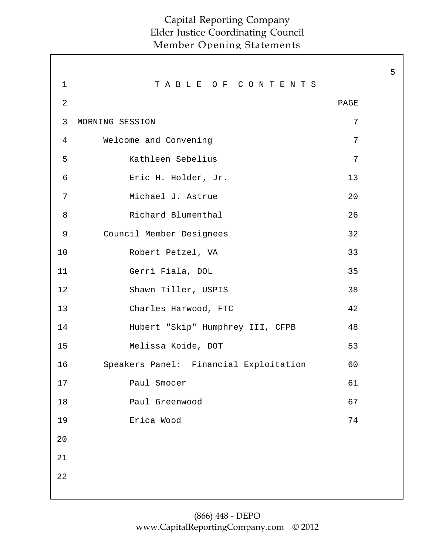|             |                                        |                | 5 |
|-------------|----------------------------------------|----------------|---|
| $\mathbf 1$ | TABLE OF CONTENTS                      |                |   |
| 2           |                                        | PAGE           |   |
| 3           | MORNING SESSION                        | 7              |   |
| 4           | Welcome and Convening                  | 7              |   |
| 5           | Kathleen Sebelius                      | $\overline{7}$ |   |
| 6           | Eric H. Holder, Jr.                    | 13             |   |
| 7           | Michael J. Astrue                      | 20             |   |
| 8           | Richard Blumenthal                     | 26             |   |
| 9           | Council Member Designees               | 32             |   |
| 10          | Robert Petzel, VA                      | 33             |   |
| 11          | Gerri Fiala, DOL                       | 35             |   |
| 12          | Shawn Tiller, USPIS                    | 38             |   |
| 13          | Charles Harwood, FTC                   | 42             |   |
| 14          | Hubert "Skip" Humphrey III, CFPB       | 48             |   |
| 15          | Melissa Koide, DOT                     | 53             |   |
| 16          | Speakers Panel: Financial Exploitation | 60             |   |
| 17          | Paul Smocer                            | 61             |   |
| 18          | Paul Greenwood                         | 67             |   |
| 19          | Erica Wood                             | 74             |   |
| 20          |                                        |                |   |
| 21          |                                        |                |   |
| 22          |                                        |                |   |
|             |                                        |                |   |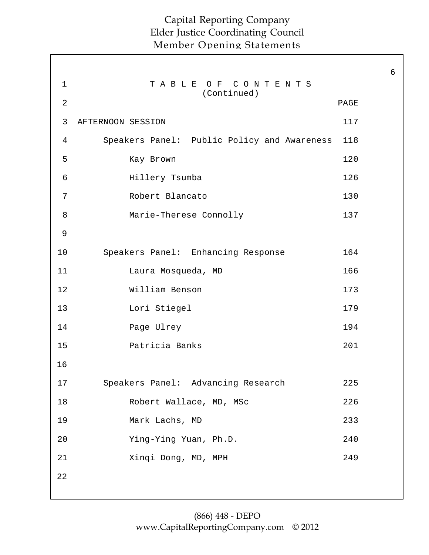|                |                                             |      | $\overline{6}$ |
|----------------|---------------------------------------------|------|----------------|
| $\mathbf 1$    | TABLE OF CONTENTS<br>(Continued)            |      |                |
| $\overline{2}$ |                                             | PAGE |                |
| 3              | AFTERNOON SESSION                           | 117  |                |
| 4              | Speakers Panel: Public Policy and Awareness | 118  |                |
| 5              | Kay Brown                                   | 120  |                |
| 6              | Hillery Tsumba                              | 126  |                |
| 7              | Robert Blancato                             | 130  |                |
| 8              | Marie-Therese Connolly                      | 137  |                |
| 9              |                                             |      |                |
| 10             | Speakers Panel: Enhancing Response          | 164  |                |
| 11             | Laura Mosqueda, MD                          | 166  |                |
| 12             | William Benson                              | 173  |                |
| 13             | Lori Stiegel                                | 179  |                |
| 14             | Page Ulrey                                  | 194  |                |
| 15             | Patricia Banks                              | 201  |                |
| 16             |                                             |      |                |
| 17             | Speakers Panel: Advancing Research          | 225  |                |
| 18             | Robert Wallace, MD, MSc                     | 226  |                |
| 19             | Mark Lachs, MD                              | 233  |                |
| 20             | Ying-Ying Yuan, Ph.D.                       | 240  |                |
| 21             | Xinqi Dong, MD, MPH                         | 249  |                |
| 22             |                                             |      |                |
|                |                                             |      |                |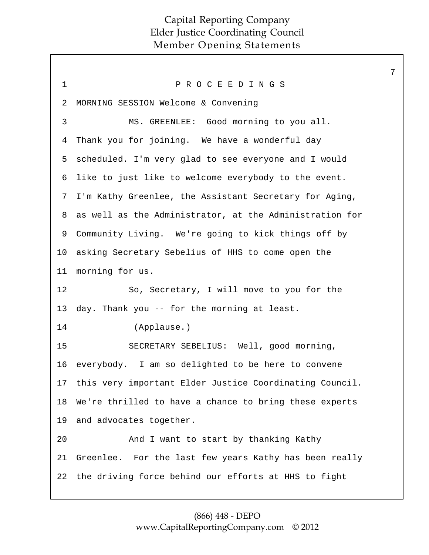| $\mathbf 1$ | PROCEEDINGS                                                |
|-------------|------------------------------------------------------------|
| 2           | MORNING SESSION Welcome & Convening                        |
| 3           | MS. GREENLEE: Good morning to you all.                     |
| 4           | Thank you for joining. We have a wonderful day             |
| 5           | scheduled. I'm very glad to see everyone and I would       |
| 6           | like to just like to welcome everybody to the event.       |
| 7           | I'm Kathy Greenlee, the Assistant Secretary for Aging,     |
| 8           | as well as the Administrator, at the Administration for    |
| 9           | Community Living. We're going to kick things off by        |
| 10          | asking Secretary Sebelius of HHS to come open the          |
| 11          | morning for us.                                            |
| 12          | So, Secretary, I will move to you for the                  |
| 13          | day. Thank you -- for the morning at least.                |
| 14          | (Applause.)                                                |
| 15          | SECRETARY SEBELIUS: Well, good morning,                    |
| 16          | everybody. I am so delighted to be here to convene         |
|             | 17 this very important Elder Justice Coordinating Council. |
| 18          | We're thrilled to have a chance to bring these experts     |
| 19          | and advocates together.                                    |
| 20          | And I want to start by thanking Kathy                      |
| 21          | Greenlee. For the last few years Kathy has been really     |
| 22          | the driving force behind our efforts at HHS to fight       |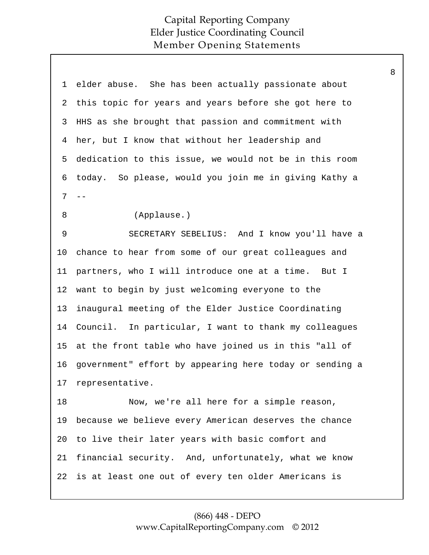| 1  | elder abuse. She has been actually passionate about     |
|----|---------------------------------------------------------|
| 2  | this topic for years and years before she got here to   |
| 3  | HHS as she brought that passion and commitment with     |
| 4  | her, but I know that without her leadership and         |
| 5  | dedication to this issue, we would not be in this room  |
| 6  | today. So please, would you join me in giving Kathy a   |
| 7  | $- -$                                                   |
| 8  | (Applause.)                                             |
| 9  | SECRETARY SEBELIUS: And I know you'll have a            |
| 10 | chance to hear from some of our great colleagues and    |
| 11 | partners, who I will introduce one at a time. But I     |
| 12 | want to begin by just welcoming everyone to the         |
| 13 | inaugural meeting of the Elder Justice Coordinating     |
| 14 | Council. In particular, I want to thank my colleagues   |
| 15 | at the front table who have joined us in this "all of   |
| 16 | government" effort by appearing here today or sending a |
| 17 | representative.                                         |
| 18 | Now, we're all here for a simple reason,                |
| 19 | because we believe every American deserves the chance   |
| 20 | to live their later years with basic comfort and        |
| 21 | financial security. And, unfortunately, what we know    |
|    | 22 is at least one out of every ten older Americans is  |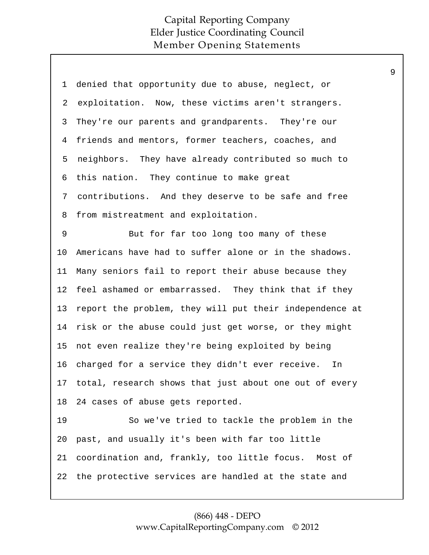| 1  | denied that opportunity due to abuse, neglect, or         |
|----|-----------------------------------------------------------|
| 2  | exploitation. Now, these victims aren't strangers.        |
| 3  | They're our parents and grandparents. They're our         |
| 4  | friends and mentors, former teachers, coaches, and        |
| 5  | neighbors. They have already contributed so much to       |
| 6  | this nation. They continue to make great                  |
| 7  | contributions. And they deserve to be safe and free       |
| 8  | from mistreatment and exploitation.                       |
| 9  | But for far too long too many of these                    |
| 10 | Americans have had to suffer alone or in the shadows.     |
| 11 | Many seniors fail to report their abuse because they      |
| 12 | feel ashamed or embarrassed. They think that if they      |
| 13 | report the problem, they will put their independence at   |
| 14 | risk or the abuse could just get worse, or they might     |
| 15 | not even realize they're being exploited by being         |
| 16 | charged for a service they didn't ever receive. In        |
|    | 17 total, research shows that just about one out of every |
| 18 | 24 cases of abuse gets reported.                          |
| 19 | So we've tried to tackle the problem in the               |
| 20 | past, and usually it's been with far too little           |
| 21 | coordination and, frankly, too little focus. Most of      |
| 22 | the protective services are handled at the state and      |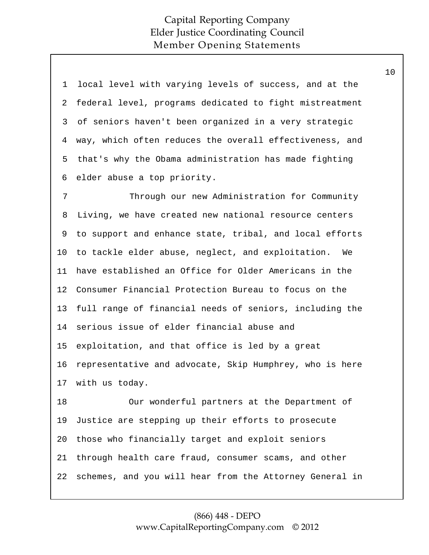| $\mathbf 1$  | local level with varying levels of success, and at the  |
|--------------|---------------------------------------------------------|
| 2            | federal level, programs dedicated to fight mistreatment |
| $\mathsf{3}$ | of seniors haven't been organized in a very strategic   |
| 4            | way, which often reduces the overall effectiveness, and |
| 5            | that's why the Obama administration has made fighting   |
| 6            | elder abuse a top priority.                             |
| 7            | Through our new Administration for Community            |
| 8            | Living, we have created new national resource centers   |
| 9            | to support and enhance state, tribal, and local efforts |
| 10           | to tackle elder abuse, neglect, and exploitation.<br>We |
| 11           | have established an Office for Older Americans in the   |
| 12           | Consumer Financial Protection Bureau to focus on the    |
| 13           | full range of financial needs of seniors, including the |
| 14           | serious issue of elder financial abuse and              |
| 15           | exploitation, and that office is led by a great         |
| 16           | representative and advocate, Skip Humphrey, who is here |
| 17           | with us today.                                          |
| 18           | Our wonderful partners at the Department of             |
| 19           | Justice are stepping up their efforts to prosecute      |
| 20           | those who financially target and exploit seniors        |
| 21           | through health care fraud, consumer scams, and other    |
| 22           | schemes, and you will hear from the Attorney General in |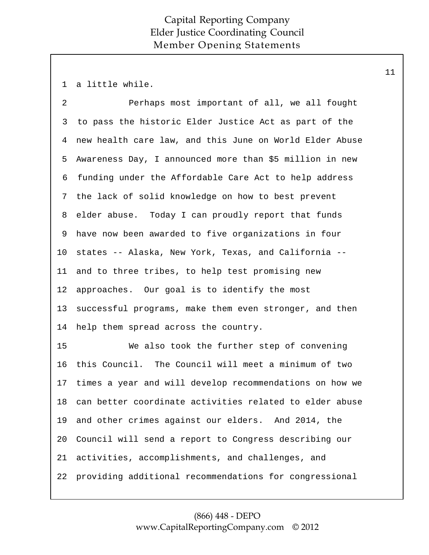1 a little while.

| $\overline{2}$ | Perhaps most important of all, we all fought            |
|----------------|---------------------------------------------------------|
| 3              | to pass the historic Elder Justice Act as part of the   |
| 4              | new health care law, and this June on World Elder Abuse |
| 5              | Awareness Day, I announced more than \$5 million in new |
| 6              | funding under the Affordable Care Act to help address   |
| 7              | the lack of solid knowledge on how to best prevent      |
| 8              | elder abuse. Today I can proudly report that funds      |
| 9              | have now been awarded to five organizations in four     |
| 10             | states -- Alaska, New York, Texas, and California --    |
| 11             | and to three tribes, to help test promising new         |
| 12             | approaches. Our goal is to identify the most            |
| 13             | successful programs, make them even stronger, and then  |
| 14             | help them spread across the country.                    |
| 15             | We also took the further step of convening              |
| 16             | this Council. The Council will meet a minimum of two    |
| 17             | times a year and will develop recommendations on how we |
| 18             | can better coordinate activities related to elder abuse |
| 19             | and other crimes against our elders. And 2014, the      |
| 20             | Council will send a report to Congress describing our   |
| 21             | activities, accomplishments, and challenges, and        |
| 22             | providing additional recommendations for congressional  |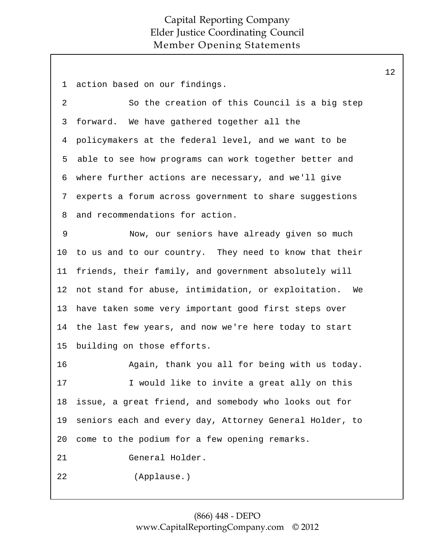1 action based on our findings.

2 So the creation of this Council is a big step forward. We have gathered together all the policymakers at the federal level, and we want to be able to see how programs can work together better and where further actions are necessary, and we'll give experts a forum across government to share suggestions and recommendations for action. 3 4 5 6 7 8

9 Now, our seniors have already given so much to us and to our country. They need to know that their friends, their family, and government absolutely will not stand for abuse, intimidation, or exploitation. We have taken some very important good first steps over the last few years, and now we're here today to start building on those efforts. 10 11 12 13 14 15

16 Again, thank you all for being with us today. 17 I would like to invite a great ally on this issue, a great friend, and somebody who looks out for seniors each and every day, Attorney General Holder, to come to the podium for a few opening remarks. 18 19 20 21 General Holder. 22 (Applause.)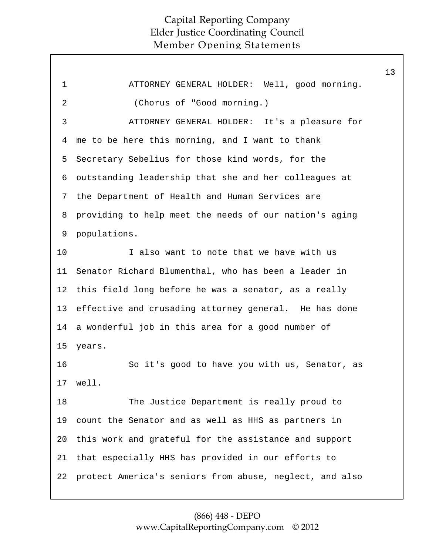|                |                                                         | 13 |
|----------------|---------------------------------------------------------|----|
| $\mathbf 1$    | ATTORNEY GENERAL HOLDER: Well, good morning.            |    |
| $\overline{2}$ | (Chorus of "Good morning.)                              |    |
| 3              | ATTORNEY GENERAL HOLDER: It's a pleasure for            |    |
| 4              | me to be here this morning, and I want to thank         |    |
| 5              | Secretary Sebelius for those kind words, for the        |    |
| 6              | outstanding leadership that she and her colleagues at   |    |
| 7              | the Department of Health and Human Services are         |    |
| 8              | providing to help meet the needs of our nation's aging  |    |
| 9              | populations.                                            |    |
| 10             | I also want to note that we have with us                |    |
| 11             | Senator Richard Blumenthal, who has been a leader in    |    |
| 12             | this field long before he was a senator, as a really    |    |
| 13             | effective and crusading attorney general. He has done   |    |
| 14             | a wonderful job in this area for a good number of       |    |
| 15             | years.                                                  |    |
| 16             | So it's good to have you with us, Senator, as           |    |
| 17             | well.                                                   |    |
| 18             | The Justice Department is really proud to               |    |
| 19             | count the Senator and as well as HHS as partners in     |    |
| 20             | this work and grateful for the assistance and support   |    |
| 21             | that especially HHS has provided in our efforts to      |    |
| 22             | protect America's seniors from abuse, neglect, and also |    |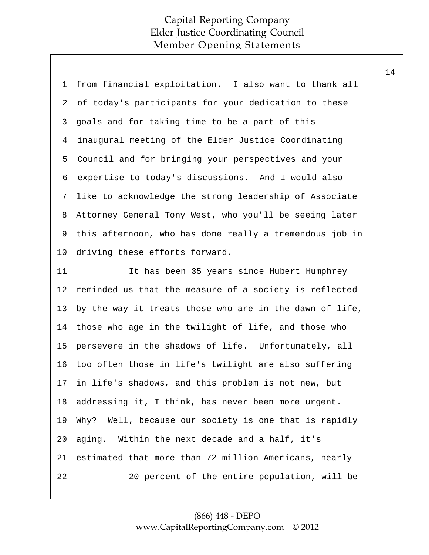| 1              | from financial exploitation. I also want to thank all   |
|----------------|---------------------------------------------------------|
| 2              | of today's participants for your dedication to these    |
| 3              | goals and for taking time to be a part of this          |
| $\overline{4}$ | inaugural meeting of the Elder Justice Coordinating     |
| 5              | Council and for bringing your perspectives and your     |
| 6              | expertise to today's discussions. And I would also      |
| 7              | like to acknowledge the strong leadership of Associate  |
| 8              | Attorney General Tony West, who you'll be seeing later  |
| 9              | this afternoon, who has done really a tremendous job in |
| 10             | driving these efforts forward.                          |
| 11             | It has been 35 years since Hubert Humphrey              |
| 12             | reminded us that the measure of a society is reflected  |
| 13             | by the way it treats those who are in the dawn of life, |
| 14             | those who age in the twilight of life, and those who    |
| 15             | persevere in the shadows of life. Unfortunately, all    |
| 16             | too often those in life's twilight are also suffering   |
| 17             | in life's shadows, and this problem is not new, but     |
| 18             | addressing it, I think, has never been more urgent.     |
| 19             | Why? Well, because our society is one that is rapidly   |
| 20             | aging. Within the next decade and a half, it's          |
| 21             | estimated that more than 72 million Americans, nearly   |
| 22             | 20 percent of the entire population, will be            |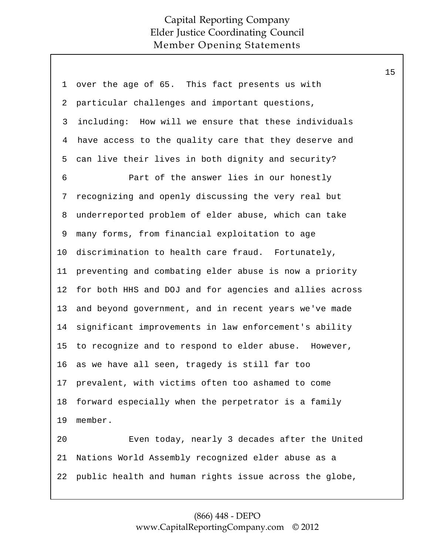| 1  | over the age of 65. This fact presents us with          |
|----|---------------------------------------------------------|
| 2  | particular challenges and important questions,          |
| 3  | including: How will we ensure that these individuals    |
| 4  | have access to the quality care that they deserve and   |
| 5  | can live their lives in both dignity and security?      |
| 6  | Part of the answer lies in our honestly                 |
| 7  | recognizing and openly discussing the very real but     |
| 8  | underreported problem of elder abuse, which can take    |
| 9  | many forms, from financial exploitation to age          |
| 10 | discrimination to health care fraud. Fortunately,       |
| 11 | preventing and combating elder abuse is now a priority  |
| 12 | for both HHS and DOJ and for agencies and allies across |
| 13 | and beyond government, and in recent years we've made   |
| 14 | significant improvements in law enforcement's ability   |
| 15 | to recognize and to respond to elder abuse. However,    |
| 16 | as we have all seen, tragedy is still far too           |
|    | 17 prevalent, with victims often too ashamed to come    |
| 18 | forward especially when the perpetrator is a family     |
| 19 | member.                                                 |
| 20 | Even today, nearly 3 decades after the United           |
| 21 | Nations World Assembly recognized elder abuse as a      |
| 22 | public health and human rights issue across the globe,  |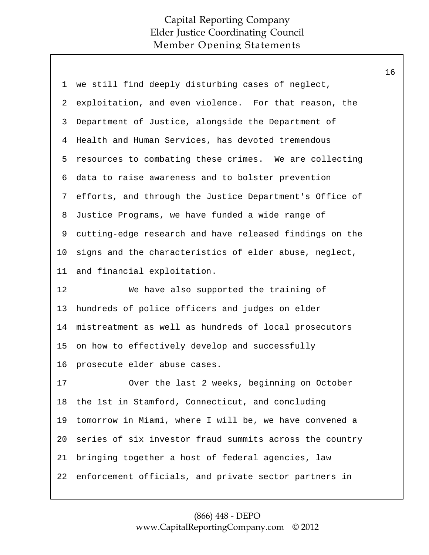| 1              | we still find deeply disturbing cases of neglect,       |
|----------------|---------------------------------------------------------|
| 2              | exploitation, and even violence. For that reason, the   |
| 3              | Department of Justice, alongside the Department of      |
| $\overline{4}$ | Health and Human Services, has devoted tremendous       |
| 5              | resources to combating these crimes. We are collecting  |
| 6              | data to raise awareness and to bolster prevention       |
| 7              | efforts, and through the Justice Department's Office of |
| 8              | Justice Programs, we have funded a wide range of        |
| 9              | cutting-edge research and have released findings on the |
| 10             | signs and the characteristics of elder abuse, neglect,  |
| 11             | and financial exploitation.                             |
| 12             | We have also supported the training of                  |
| 13             | hundreds of police officers and judges on elder         |
| 14             | mistreatment as well as hundreds of local prosecutors   |
| 15             | on how to effectively develop and successfully          |
| 16             | prosecute elder abuse cases.                            |
| 17             | Over the last 2 weeks, beginning on October             |
| 18             | the 1st in Stamford, Connecticut, and concluding        |
| 19             | tomorrow in Miami, where I will be, we have convened a  |
| 20             | series of six investor fraud summits across the country |
|                |                                                         |
| 21             | bringing together a host of federal agencies, law       |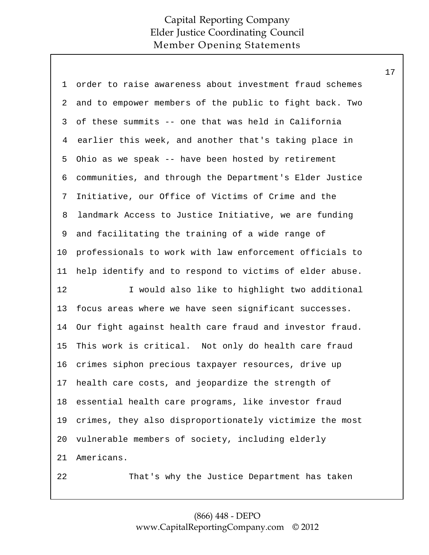| 1  | order to raise awareness about investment fraud schemes |
|----|---------------------------------------------------------|
| 2  | and to empower members of the public to fight back. Two |
| 3  | of these summits -- one that was held in California     |
| 4  | earlier this week, and another that's taking place in   |
| 5  | Ohio as we speak -- have been hosted by retirement      |
| 6  | communities, and through the Department's Elder Justice |
| 7  | Initiative, our Office of Victims of Crime and the      |
| 8  | landmark Access to Justice Initiative, we are funding   |
| 9  | and facilitating the training of a wide range of        |
| 10 | professionals to work with law enforcement officials to |
| 11 | help identify and to respond to victims of elder abuse. |
| 12 | I would also like to highlight two additional           |
| 13 | focus areas where we have seen significant successes.   |
| 14 | Our fight against health care fraud and investor fraud. |
| 15 | This work is critical. Not only do health care fraud    |
| 16 | crimes siphon precious taxpayer resources, drive up     |
| 17 | health care costs, and jeopardize the strength of       |
| 18 | essential health care programs, like investor fraud     |
| 19 | crimes, they also disproportionately victimize the most |
| 20 | vulnerable members of society, including elderly        |
| 21 | Americans.                                              |
| 22 | That's why the Justice Department has taken             |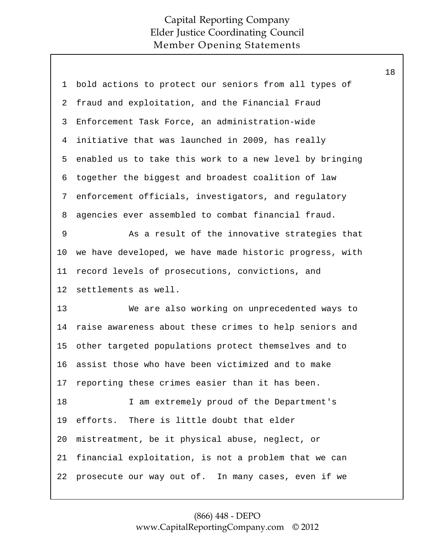| 1  | bold actions to protect our seniors from all types of   |
|----|---------------------------------------------------------|
| 2  | fraud and exploitation, and the Financial Fraud         |
| 3  | Enforcement Task Force, an administration-wide          |
| 4  | initiative that was launched in 2009, has really        |
| 5  | enabled us to take this work to a new level by bringing |
| 6  | together the biggest and broadest coalition of law      |
| 7  | enforcement officials, investigators, and regulatory    |
| 8  | agencies ever assembled to combat financial fraud.      |
| 9  | As a result of the innovative strategies that           |
| 10 | we have developed, we have made historic progress, with |
| 11 | record levels of prosecutions, convictions, and         |
|    |                                                         |
| 12 | settlements as well.                                    |
| 13 | We are also working on unprecedented ways to            |
| 14 | raise awareness about these crimes to help seniors and  |
| 15 | other targeted populations protect themselves and to    |
| 16 | assist those who have been victimized and to make       |
| 17 | reporting these crimes easier than it has been.         |
| 18 | I am extremely proud of the Department's                |
| 19 | efforts. There is little doubt that elder               |
| 20 | mistreatment, be it physical abuse, neglect, or         |
| 21 | financial exploitation, is not a problem that we can    |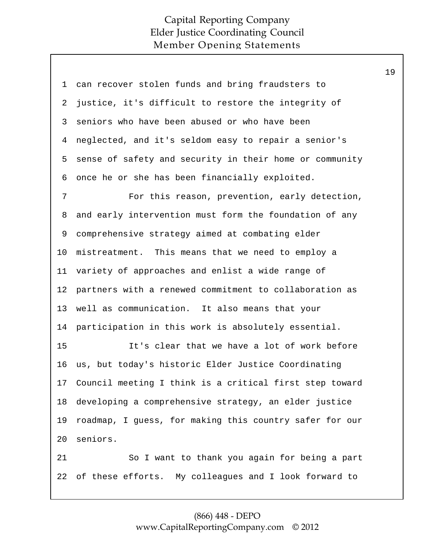| 1       | can recover stolen funds and bring fraudsters to        |
|---------|---------------------------------------------------------|
| 2       | justice, it's difficult to restore the integrity of     |
| 3       | seniors who have been abused or who have been           |
| 4       | neglected, and it's seldom easy to repair a senior's    |
| 5       | sense of safety and security in their home or community |
| 6       | once he or she has been financially exploited.          |
| 7       | For this reason, prevention, early detection,           |
| 8       | and early intervention must form the foundation of any  |
| 9       | comprehensive strategy aimed at combating elder         |
| $10 \,$ | mistreatment. This means that we need to employ a       |
| 11      | variety of approaches and enlist a wide range of        |
| 12      | partners with a renewed commitment to collaboration as  |
| 13      | well as communication. It also means that your          |
| 14      | participation in this work is absolutely essential.     |
| 15      | It's clear that we have a lot of work before            |
| 16      | us, but today's historic Elder Justice Coordinating     |
| 17      | Council meeting I think is a critical first step toward |
| 18      | developing a comprehensive strategy, an elder justice   |
| 19      | roadmap, I guess, for making this country safer for our |
| 20      | seniors.                                                |
| 21      | So I want to thank you again for being a part           |
| 22      | of these efforts. My colleagues and I look forward to   |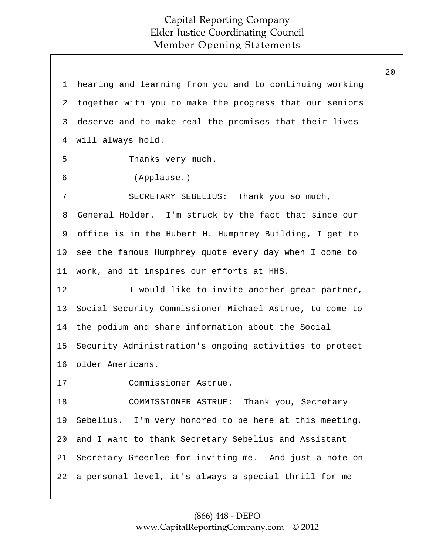1 hearing and learning from you and to continuing working together with you to make the progress that our seniors deserve and to make real the promises that their lives will always hold. Thanks very much. (Applause.) SECRETARY SEBELIUS: Thank you so much, General Holder. I'm struck by the fact that since our office is in the Hubert H. Humphrey Building, I get to see the famous Humphrey quote every day when I come to work, and it inspires our efforts at HHS. I would like to invite another great partner, Social Security Commissioner Michael Astrue, to come to the podium and share information about the Social Security Administration's ongoing activities to protect older Americans. Commissioner Astrue. COMMISSIONER ASTRUE: Thank you, Secretary Sebelius. I'm very honored to be here at this meeting, and I want to thank Secretary Sebelius and Assistant Secretary Greenlee for inviting me. And just a note on a personal level, it's always a special thrill for me 2 3 4 5 6 7 8 9 10 11 12 13 14 15 16 17 18 19 20 21 22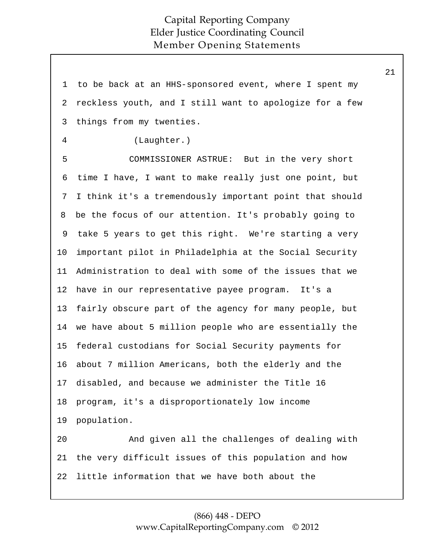1 to be back at an HHS-sponsored event, where I spent my reckless youth, and I still want to apologize for a few things from my twenties. (Laughter.) COMMISSIONER ASTRUE: But in the very short time I have, I want to make really just one point, but I think it's a tremendously important point that should be the focus of our attention. It's probably going to take 5 years to get this right. We're starting a very important pilot in Philadelphia at the Social Security Administration to deal with some of the issues that we have in our representative payee program. It's a fairly obscure part of the agency for many people, but we have about 5 million people who are essentially the federal custodians for Social Security payments for about 7 million Americans, both the elderly and the disabled, and because we administer the Title 16 program, it's a disproportionately low income population. And given all the challenges of dealing with the very difficult issues of this population and how little information that we have both about the 2 3 4 5 6 7 8 9 10 11 12 13 14 15 16 17 18 19 20 21 22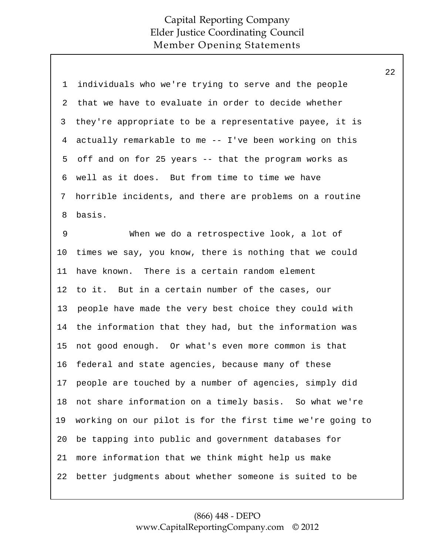| $\mathbf 1$    | individuals who we're trying to serve and the people      |
|----------------|-----------------------------------------------------------|
| $\overline{2}$ | that we have to evaluate in order to decide whether       |
| 3              | they're appropriate to be a representative payee, it is   |
| $\overline{4}$ | actually remarkable to me -- I've been working on this    |
| 5              | off and on for 25 years -- that the program works as      |
| 6              | well as it does. But from time to time we have            |
| 7              | horrible incidents, and there are problems on a routine   |
| 8              | basis.                                                    |
| $\mathsf 9$    | When we do a retrospective look, a lot of                 |
| 10             | times we say, you know, there is nothing that we could    |
| 11             | have known. There is a certain random element             |
| 12             | to it. But in a certain number of the cases, our          |
| 13             | people have made the very best choice they could with     |
| 14             | the information that they had, but the information was    |
| 15             | not good enough. Or what's even more common is that       |
| 16             | federal and state agencies, because many of these         |
| 17             | people are touched by a number of agencies, simply did    |
| 18             | not share information on a timely basis. So what we're    |
| 19             | working on our pilot is for the first time we're going to |
| 20             | be tapping into public and government databases for       |
| 21             | more information that we think might help us make         |
| 22             | better judgments about whether someone is suited to be    |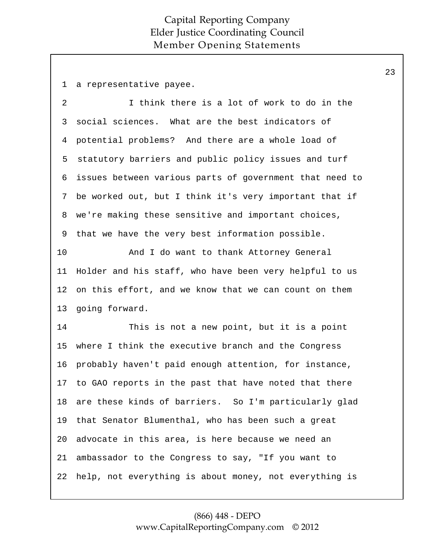1 a representative payee.

I think there is a lot of work to do in the social sciences. What are the best indicators of potential problems? And there are a whole load of statutory barriers and public policy issues and turf issues between various parts of government that need to be worked out, but I think it's very important that if we're making these sensitive and important choices, that we have the very best information possible. 2 3 4 5 6 7 8 9

And I do want to thank Attorney General Holder and his staff, who have been very helpful to us on this effort, and we know that we can count on them going forward. 10 11 12 13

This is not a new point, but it is a point where I think the executive branch and the Congress probably haven't paid enough attention, for instance, to GAO reports in the past that have noted that there are these kinds of barriers. So I'm particularly glad that Senator Blumenthal, who has been such a great advocate in this area, is here because we need an ambassador to the Congress to say, "If you want to help, not everything is about money, not everything is 14 15 16 17 18 19 20 21 22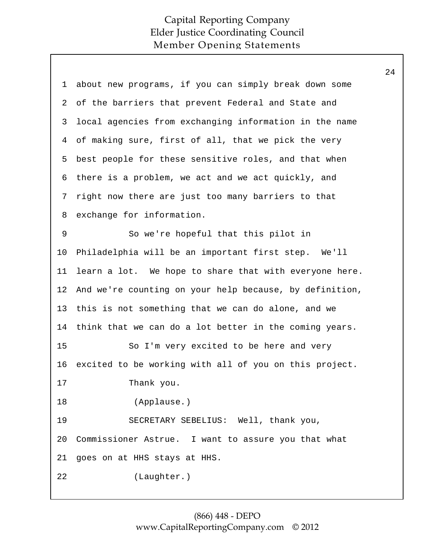| 1              | about new programs, if you can simply break down some   |
|----------------|---------------------------------------------------------|
| $\overline{2}$ | of the barriers that prevent Federal and State and      |
| 3              | local agencies from exchanging information in the name  |
| 4              | of making sure, first of all, that we pick the very     |
| 5              | best people for these sensitive roles, and that when    |
| 6              | there is a problem, we act and we act quickly, and      |
| 7              | right now there are just too many barriers to that      |
| 8              | exchange for information.                               |
| 9              | So we're hopeful that this pilot in                     |
| 10             | Philadelphia will be an important first step. We'll     |
| 11             | learn a lot. We hope to share that with everyone here.  |
| 12             | And we're counting on your help because, by definition, |
| 13             | this is not something that we can do alone, and we      |
| 14             | think that we can do a lot better in the coming years.  |
| 15             | So I'm very excited to be here and very                 |
| 16             | excited to be working with all of you on this project.  |
| 17             | Thank you.                                              |
| 18             | (Applause.)                                             |
| 19             | SECRETARY SEBELIUS: Well, thank you,                    |
| 20             | Commissioner Astrue. I want to assure you that what     |
| 21             | goes on at HHS stays at HHS.                            |
| 22             | (Laughter.)                                             |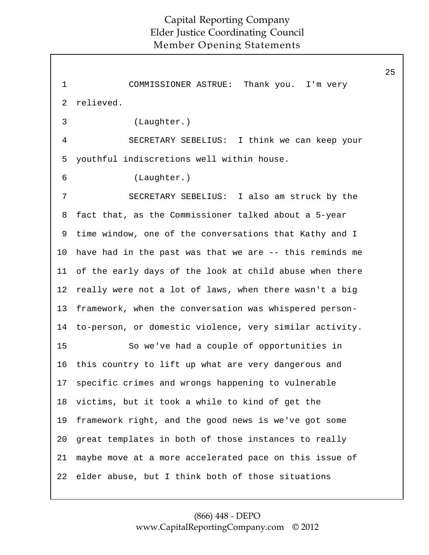25 1 COMMISSIONER ASTRUE: Thank you. I'm very relieved. (Laughter.) SECRETARY SEBELIUS: I think we can keep your youthful indiscretions well within house. (Laughter.) SECRETARY SEBELIUS: I also am struck by the fact that, as the Commissioner talked about a 5-year time window, one of the conversations that Kathy and I have had in the past was that we are -- this reminds me of the early days of the look at child abuse when there really were not a lot of laws, when there wasn't a big framework, when the conversation was whispered personto-person, or domestic violence, very similar activity. So we've had a couple of opportunities in this country to lift up what are very dangerous and specific crimes and wrongs happening to vulnerable victims, but it took a while to kind of get the framework right, and the good news is we've got some great templates in both of those instances to really maybe move at a more accelerated pace on this issue of elder abuse, but I think both of those situations 2 3 4 5 6 7 8 9 10 11 12 13 14 15 16 17 18 19 20 21 22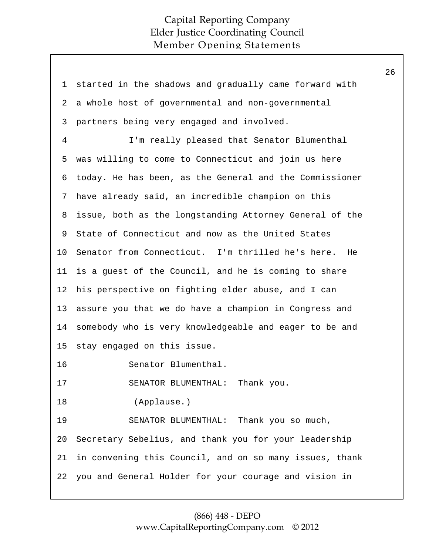26

1 started in the shadows and gradually came forward with a whole host of governmental and non-governmental partners being very engaged and involved. I'm really pleased that Senator Blumenthal was willing to come to Connecticut and join us here today. He has been, as the General and the Commissioner have already said, an incredible champion on this issue, both as the longstanding Attorney General of the State of Connecticut and now as the United States Senator from Connecticut. I'm thrilled he's here. He is a guest of the Council, and he is coming to share his perspective on fighting elder abuse, and I can assure you that we do have a champion in Congress and somebody who is very knowledgeable and eager to be and stay engaged on this issue. Senator Blumenthal. SENATOR BLUMENTHAL: Thank you. (Applause.) SENATOR BLUMENTHAL: Thank you so much, Secretary Sebelius, and thank you for your leadership in convening this Council, and on so many issues, thank you and General Holder for your courage and vision in 2 3 4 5 6 7 8 9 10 11 12 13 14 15 16 17 18 19 20 21 22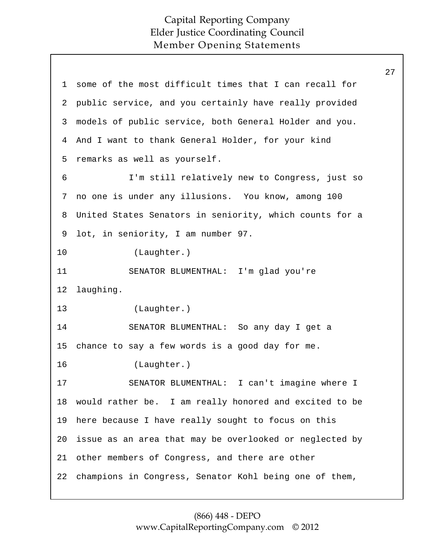27

1 some of the most difficult times that I can recall for public service, and you certainly have really provided models of public service, both General Holder and you. And I want to thank General Holder, for your kind remarks as well as yourself. I'm still relatively new to Congress, just so no one is under any illusions. You know, among 100 United States Senators in seniority, which counts for a lot, in seniority, I am number 97. (Laughter.) SENATOR BLUMENTHAL: I'm glad you're laughing. (Laughter.) SENATOR BLUMENTHAL: So any day I get a chance to say a few words is a good day for me. (Laughter.) SENATOR BLUMENTHAL: I can't imagine where I would rather be. I am really honored and excited to be here because I have really sought to focus on this issue as an area that may be overlooked or neglected by other members of Congress, and there are other champions in Congress, Senator Kohl being one of them, 2 3 4 5 6 7 8 9 10 11 12 13 14 15 16 17 18 19 20 21 22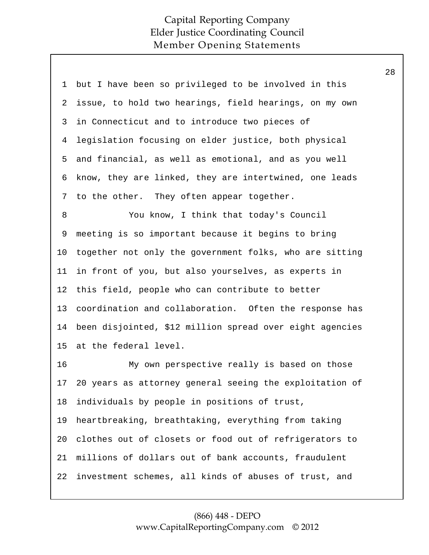| 1  | but I have been so privileged to be involved in this     |
|----|----------------------------------------------------------|
| 2  | issue, to hold two hearings, field hearings, on my own   |
| 3  | in Connecticut and to introduce two pieces of            |
| 4  | legislation focusing on elder justice, both physical     |
| 5  | and financial, as well as emotional, and as you well     |
| 6  | know, they are linked, they are intertwined, one leads   |
| 7  | to the other. They often appear together.                |
| 8  | You know, I think that today's Council                   |
| 9  | meeting is so important because it begins to bring       |
| 10 | together not only the government folks, who are sitting  |
| 11 | in front of you, but also yourselves, as experts in      |
| 12 | this field, people who can contribute to better          |
| 13 | coordination and collaboration. Often the response has   |
| 14 | been disjointed, \$12 million spread over eight agencies |
| 15 | at the federal level.                                    |
| 16 | My own perspective really is based on those              |
| 17 | 20 years as attorney general seeing the exploitation of  |
| 18 | individuals by people in positions of trust,             |
| 19 | heartbreaking, breathtaking, everything from taking      |
| 20 | clothes out of closets or food out of refrigerators to   |
| 21 | millions of dollars out of bank accounts, fraudulent     |
| 22 | investment schemes, all kinds of abuses of trust, and    |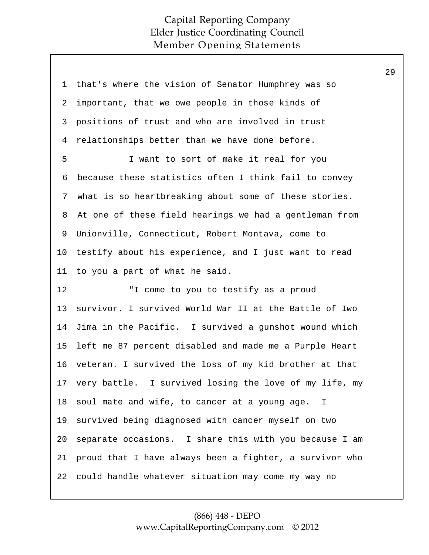| 1       | that's where the vision of Senator Humphrey was so      |
|---------|---------------------------------------------------------|
| 2       | important, that we owe people in those kinds of         |
| 3       | positions of trust and who are involved in trust        |
| 4       | relationships better than we have done before.          |
| 5       | I want to sort of make it real for you                  |
| 6       | because these statistics often I think fail to convey   |
| 7       | what is so heartbreaking about some of these stories.   |
| 8       | At one of these field hearings we had a gentleman from  |
| 9       | Unionville, Connecticut, Robert Montava, come to        |
| $10 \,$ | testify about his experience, and I just want to read   |
| 11      | to you a part of what he said.                          |
|         |                                                         |
| 12      | "I come to you to testify as a proud                    |
| 13      | survivor. I survived World War II at the Battle of Iwo  |
| 14      | Jima in the Pacific. I survived a gunshot wound which   |
| 15      | left me 87 percent disabled and made me a Purple Heart  |
| 16      | veteran. I survived the loss of my kid brother at that  |
| 17      | very battle. I survived losing the love of my life, my  |
| 18      | soul mate and wife, to cancer at a young age. I         |
| 19      | survived being diagnosed with cancer myself on two      |
| 20      | separate occasions. I share this with you because I am  |
| 21      | proud that I have always been a fighter, a survivor who |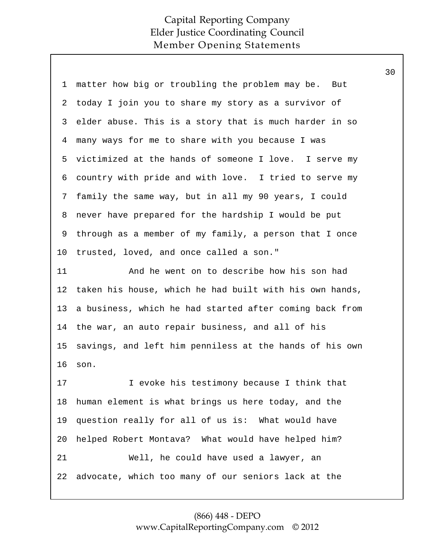| 1       | matter how big or troubling the problem may be. But     |
|---------|---------------------------------------------------------|
| 2       | today I join you to share my story as a survivor of     |
| 3       | elder abuse. This is a story that is much harder in so  |
| 4       | many ways for me to share with you because I was        |
| 5       | victimized at the hands of someone I love. I serve my   |
| 6       | country with pride and with love. I tried to serve my   |
| 7       | family the same way, but in all my 90 years, I could    |
| 8       | never have prepared for the hardship I would be put     |
| 9       | through as a member of my family, a person that I once  |
| $10 \,$ | trusted, loved, and once called a son."                 |
| 11      | And he went on to describe how his son had              |
| 12      | taken his house, which he had built with his own hands, |
| 13      | a business, which he had started after coming back from |
| 14      | the war, an auto repair business, and all of his        |
| 15      | savings, and left him penniless at the hands of his own |
| 16      | son.                                                    |
| 17      | I evoke his testimony because I think that              |
| 18      | human element is what brings us here today, and the     |
| 19      | question really for all of us is: What would have       |
| 20      | helped Robert Montava? What would have helped him?      |
| 21      | Well, he could have used a lawyer, an                   |
| 22      | advocate, which too many of our seniors lack at the     |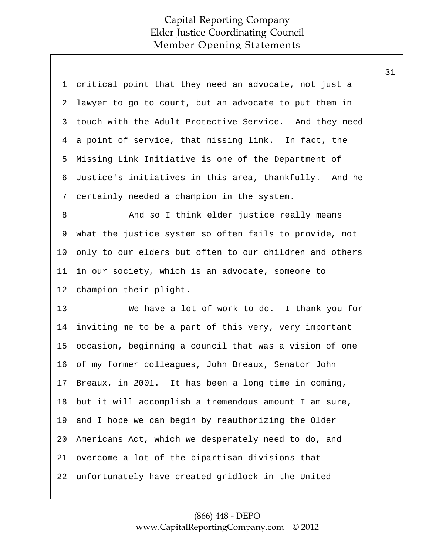| 1       | critical point that they need an advocate, not just a   |
|---------|---------------------------------------------------------|
| 2       | lawyer to go to court, but an advocate to put them in   |
| 3       | touch with the Adult Protective Service. And they need  |
| 4       | a point of service, that missing link. In fact, the     |
| 5       | Missing Link Initiative is one of the Department of     |
| 6       | Justice's initiatives in this area, thankfully. And he  |
| 7       | certainly needed a champion in the system.              |
| 8       | And so I think elder justice really means               |
| 9       | what the justice system so often fails to provide, not  |
| $10 \,$ | only to our elders but often to our children and others |
| 11      | in our society, which is an advocate, someone to        |
|         |                                                         |
| 12      | champion their plight.                                  |
| 13      | We have a lot of work to do. I thank you for            |
| 14      | inviting me to be a part of this very, very important   |
| 15      | occasion, beginning a council that was a vision of one  |
| 16      | of my former colleagues, John Breaux, Senator John      |
| 17      | Breaux, in 2001. It has been a long time in coming,     |
| 18      | but it will accomplish a tremendous amount I am sure,   |
| 19      | and I hope we can begin by reauthorizing the Older      |
| 20      | Americans Act, which we desperately need to do, and     |
| 21      | overcome a lot of the bipartisan divisions that         |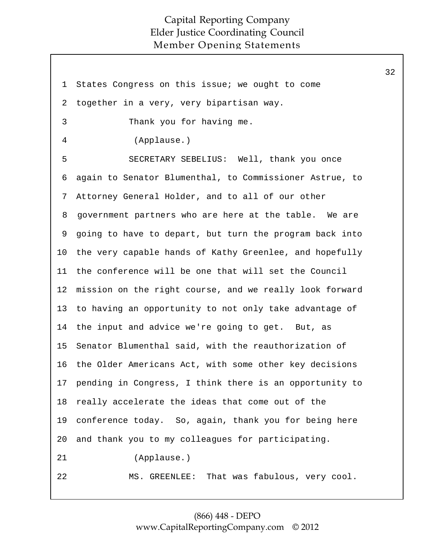1 States Congress on this issue; we ought to come together in a very, very bipartisan way. Thank you for having me. (Applause.) SECRETARY SEBELIUS: Well, thank you once again to Senator Blumenthal, to Commissioner Astrue, to Attorney General Holder, and to all of our other government partners who are here at the table. We are going to have to depart, but turn the program back into the very capable hands of Kathy Greenlee, and hopefully the conference will be one that will set the Council mission on the right course, and we really look forward to having an opportunity to not only take advantage of the input and advice we're going to get. But, as Senator Blumenthal said, with the reauthorization of the Older Americans Act, with some other key decisions pending in Congress, I think there is an opportunity to really accelerate the ideas that come out of the conference today. So, again, thank you for being here and thank you to my colleagues for participating. (Applause.) MS. GREENLEE: That was fabulous, very cool. 2 3 4 5 6 7 8 9 10 11 12 13 14 15 16 17 18 19 20 21 22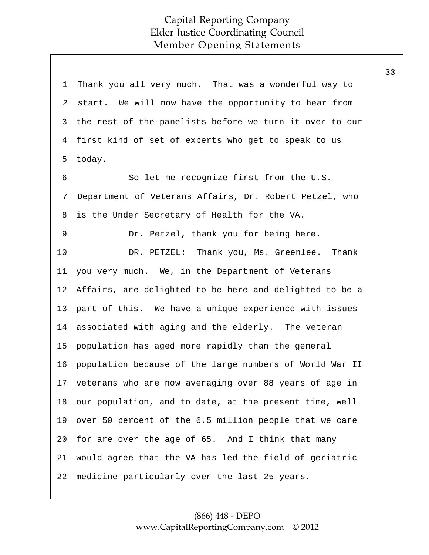1 Thank you all very much. That was a wonderful way to start. We will now have the opportunity to hear from the rest of the panelists before we turn it over to our first kind of set of experts who get to speak to us today. So let me recognize first from the U.S. Department of Veterans Affairs, Dr. Robert Petzel, who is the Under Secretary of Health for the VA. Dr. Petzel, thank you for being here. DR. PETZEL: Thank you, Ms. Greenlee. Thank you very much. We, in the Department of Veterans Affairs, are delighted to be here and delighted to be a part of this. We have a unique experience with issues associated with aging and the elderly. The veteran population has aged more rapidly than the general population because of the large numbers of World War II veterans who are now averaging over 88 years of age in our population, and to date, at the present time, well over 50 percent of the 6.5 million people that we care for are over the age of 65. And I think that many would agree that the VA has led the field of geriatric medicine particularly over the last 25 years. 2 3 4 5 6 7 8 9 10 11 12 13 14 15 16 17 18 19 20 21 22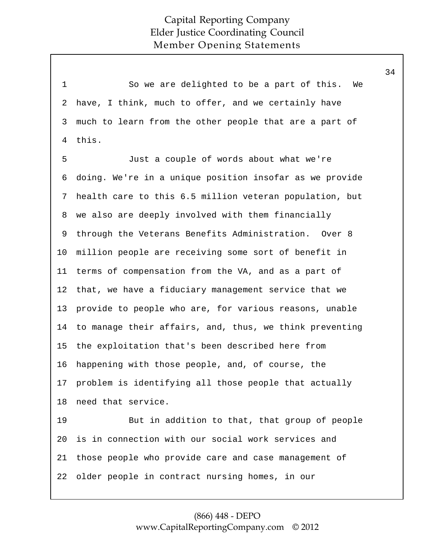| $\mathbf 1$    | So we are delighted to be a part of this.<br>We         |
|----------------|---------------------------------------------------------|
| $\overline{2}$ | have, I think, much to offer, and we certainly have     |
| 3              | much to learn from the other people that are a part of  |
| $\overline{4}$ | this.                                                   |
| 5              | Just a couple of words about what we're                 |
| 6              | doing. We're in a unique position insofar as we provide |
| 7              | health care to this 6.5 million veteran population, but |
| 8              | we also are deeply involved with them financially       |
| 9              | through the Veterans Benefits Administration. Over 8    |
| 10             | million people are receiving some sort of benefit in    |
| 11             | terms of compensation from the VA, and as a part of     |
| 12             | that, we have a fiduciary management service that we    |
| 13             | provide to people who are, for various reasons, unable  |
| 14             | to manage their affairs, and, thus, we think preventing |
| 15             | the exploitation that's been described here from        |
| 16             | happening with those people, and, of course, the        |
| 17             | problem is identifying all those people that actually   |
| 18             | need that service.                                      |
| 19             | But in addition to that, that group of people           |
| 20             | is in connection with our social work services and      |
| 21             | those people who provide care and case management of    |
| 22             | older people in contract nursing homes, in our          |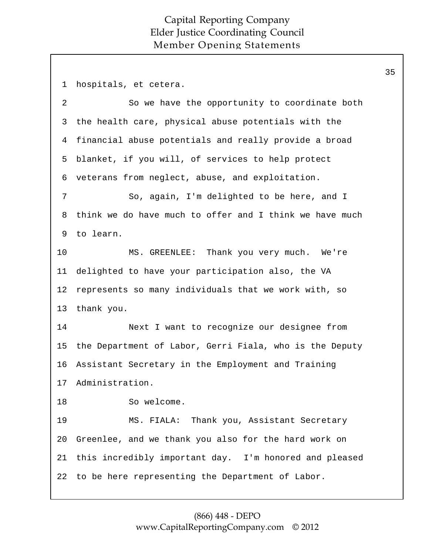1 hospitals, et cetera. So we have the opportunity to coordinate both the health care, physical abuse potentials with the financial abuse potentials and really provide a broad blanket, if you will, of services to help protect veterans from neglect, abuse, and exploitation. So, again, I'm delighted to be here, and I think we do have much to offer and I think we have much to learn. MS. GREENLEE: Thank you very much. We're delighted to have your participation also, the VA represents so many individuals that we work with, so thank you. Next I want to recognize our designee from the Department of Labor, Gerri Fiala, who is the Deputy Assistant Secretary in the Employment and Training Administration. So welcome. MS. FIALA: Thank you, Assistant Secretary Greenlee, and we thank you also for the hard work on this incredibly important day. I'm honored and pleased to be here representing the Department of Labor. 2 3 4 5 6 7 8 9 10 11 12 13 14 15 16 17 18 19 20 21 22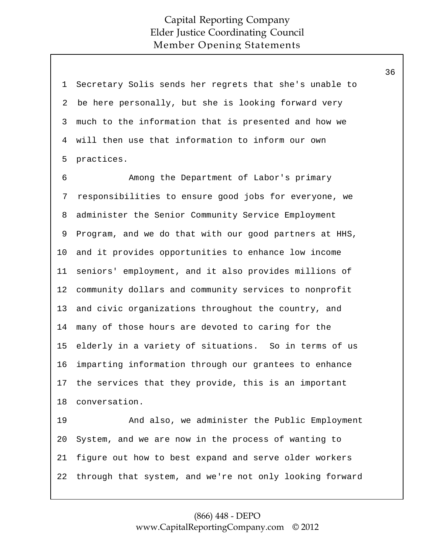| 1  | Secretary Solis sends her regrets that she's unable to  |
|----|---------------------------------------------------------|
| 2  | be here personally, but she is looking forward very     |
| 3  | much to the information that is presented and how we    |
| 4  | will then use that information to inform our own        |
| 5  | practices.                                              |
| 6  | Among the Department of Labor's primary                 |
| 7  | responsibilities to ensure good jobs for everyone, we   |
| 8  | administer the Senior Community Service Employment      |
| 9  | Program, and we do that with our good partners at HHS,  |
| 10 | and it provides opportunities to enhance low income     |
| 11 | seniors' employment, and it also provides millions of   |
| 12 | community dollars and community services to nonprofit   |
| 13 | and civic organizations throughout the country, and     |
| 14 | many of those hours are devoted to caring for the       |
| 15 | elderly in a variety of situations. So in terms of us   |
| 16 | imparting information through our grantees to enhance   |
|    | 17 the services that they provide, this is an important |
| 18 | conversation.                                           |
| 19 | And also, we administer the Public Employment           |
| 20 | System, and we are now in the process of wanting to     |
| 21 | figure out how to best expand and serve older workers   |
| 22 | through that system, and we're not only looking forward |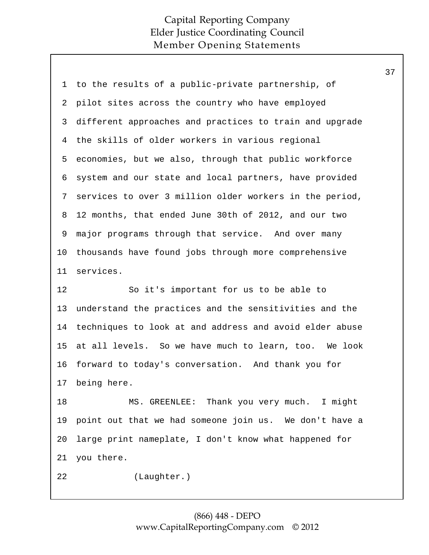| 1        | to the results of a public-private partnership, of      |
|----------|---------------------------------------------------------|
| 2        | pilot sites across the country who have employed        |
| 3        | different approaches and practices to train and upgrade |
| 4        | the skills of older workers in various regional         |
| 5        | economies, but we also, through that public workforce   |
| 6        | system and our state and local partners, have provided  |
| 7        | services to over 3 million older workers in the period, |
| 8        | 12 months, that ended June 30th of 2012, and our two    |
| 9        | major programs through that service. And over many      |
| 10       | thousands have found jobs through more comprehensive    |
| 11       | services.                                               |
|          |                                                         |
| 12       | So it's important for us to be able to                  |
|          | understand the practices and the sensitivities and the  |
| 13<br>14 | techniques to look at and address and avoid elder abuse |
| 15       | at all levels. So we have much to learn, too. We look   |
| 16       | forward to today's conversation. And thank you for      |
| 17       | being here.                                             |
| 18       | MS. GREENLEE: Thank you very much. I might              |
| 19       | point out that we had someone join us. We don't have a  |
| 20       | large print nameplate, I don't know what happened for   |
| 21       | you there.                                              |
| 22       | (Laughter.)                                             |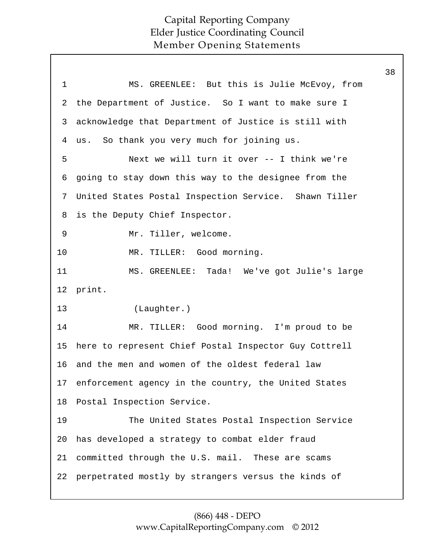|              |                                                       | 38 |
|--------------|-------------------------------------------------------|----|
| $\mathbf{1}$ | MS. GREENLEE: But this is Julie McEvoy, from          |    |
| 2            | the Department of Justice. So I want to make sure I   |    |
| 3            | acknowledge that Department of Justice is still with  |    |
| 4            | us. So thank you very much for joining us.            |    |
| 5            | Next we will turn it over -- I think we're            |    |
| 6            | going to stay down this way to the designee from the  |    |
| 7            | United States Postal Inspection Service. Shawn Tiller |    |
| 8            | is the Deputy Chief Inspector.                        |    |
| 9            | Mr. Tiller, welcome.                                  |    |
| 10           | MR. TILLER: Good morning.                             |    |
| 11           | MS. GREENLEE: Tada! We've got Julie's large           |    |
|              | 12 print.                                             |    |
| 13           | (Laughter.)                                           |    |
| 14           | MR. TILLER: Good morning. I'm proud to be             |    |
| 15           | here to represent Chief Postal Inspector Guy Cottrell |    |
| 16           | and the men and women of the oldest federal law       |    |
| 17           | enforcement agency in the country, the United States  |    |
| 18           | Postal Inspection Service.                            |    |
| 19           | The United States Postal Inspection Service           |    |
| 20           | has developed a strategy to combat elder fraud        |    |
| 21           | committed through the U.S. mail. These are scams      |    |
| 22           | perpetrated mostly by strangers versus the kinds of   |    |
|              |                                                       |    |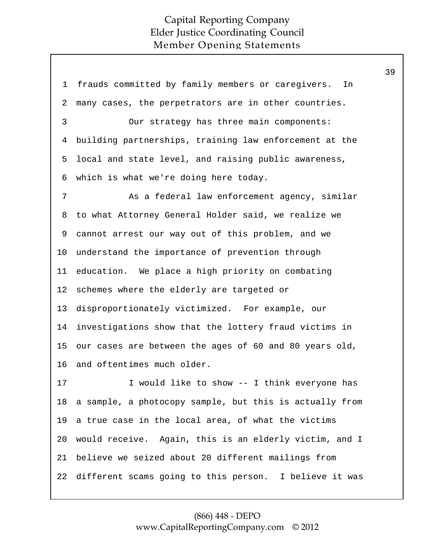1 frauds committed by family members or caregivers. In many cases, the perpetrators are in other countries. Our strategy has three main components: building partnerships, training law enforcement at the local and state level, and raising public awareness, which is what we're doing here today. As a federal law enforcement agency, similar to what Attorney General Holder said, we realize we cannot arrest our way out of this problem, and we understand the importance of prevention through education. We place a high priority on combating schemes where the elderly are targeted or disproportionately victimized. For example, our investigations show that the lottery fraud victims in our cases are between the ages of 60 and 80 years old, and oftentimes much older. I would like to show -- I think everyone has a sample, a photocopy sample, but this is actually from a true case in the local area, of what the victims would receive. Again, this is an elderly victim, and I believe we seized about 20 different mailings from different scams going to this person. I believe it was 2 3 4 5 6 7 8 9 10 11 12 13 14 15 16 17 18 19 20 21 22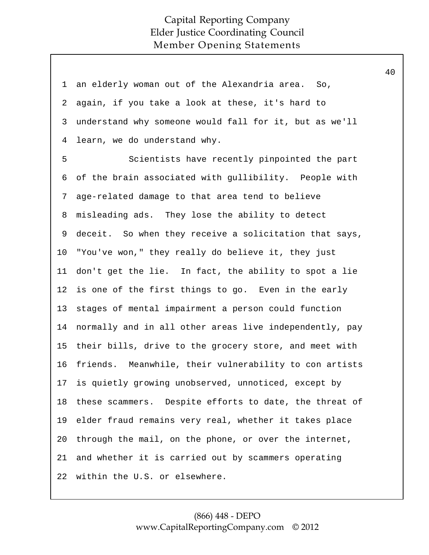| $\mathbf 1$    | an elderly woman out of the Alexandria area. So,        |
|----------------|---------------------------------------------------------|
| 2              | again, if you take a look at these, it's hard to        |
| 3              | understand why someone would fall for it, but as we'll  |
| $\overline{4}$ | learn, we do understand why.                            |
| 5              | Scientists have recently pinpointed the part            |
| 6              | of the brain associated with gullibility. People with   |
| 7              | age-related damage to that area tend to believe         |
| 8              | misleading ads. They lose the ability to detect         |
| 9              | deceit. So when they receive a solicitation that says,  |
| $10 \,$        | "You've won," they really do believe it, they just      |
| 11             | don't get the lie. In fact, the ability to spot a lie   |
| 12             | is one of the first things to go. Even in the early     |
| 13             | stages of mental impairment a person could function     |
| 14             | normally and in all other areas live independently, pay |
| 15             | their bills, drive to the grocery store, and meet with  |
| 16             | friends. Meanwhile, their vulnerability to con artists  |
| 17             | is quietly growing unobserved, unnoticed, except by     |
| 18             | these scammers. Despite efforts to date, the threat of  |
| 19             | elder fraud remains very real, whether it takes place   |
| 20             | through the mail, on the phone, or over the internet,   |
| 21             | and whether it is carried out by scammers operating     |
| 22             | within the U.S. or elsewhere.                           |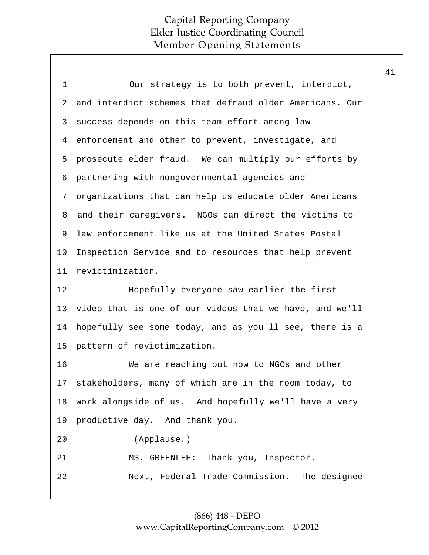| $\mathbf 1$    | Our strategy is to both prevent, interdict,             |
|----------------|---------------------------------------------------------|
| $\overline{2}$ | and interdict schemes that defraud older Americans. Our |
| 3              | success depends on this team effort among law           |
| 4              | enforcement and other to prevent, investigate, and      |
| 5              | prosecute elder fraud. We can multiply our efforts by   |
| 6              | partnering with nongovernmental agencies and            |
| 7              | organizations that can help us educate older Americans  |
| 8              | and their caregivers. NGOs can direct the victims to    |
| 9              | law enforcement like us at the United States Postal     |
| 10             | Inspection Service and to resources that help prevent   |
| 11             | revictimization.                                        |
| 12             | Hopefully everyone saw earlier the first                |
| 13             | video that is one of our videos that we have, and we'll |
| 14             | hopefully see some today, and as you'll see, there is a |
| 15             | pattern of revictimization.                             |
| 16             | We are reaching out now to NGOs and other               |
| 17             | stakeholders, many of which are in the room today, to   |
| 18             | work alongside of us. And hopefully we'll have a very   |
| 19             | productive day. And thank you.                          |
| 20             | (Applause.)                                             |
| 21             | MS. GREENLEE: Thank you, Inspector.                     |
| 22             | Next, Federal Trade Commission. The designee            |
|                |                                                         |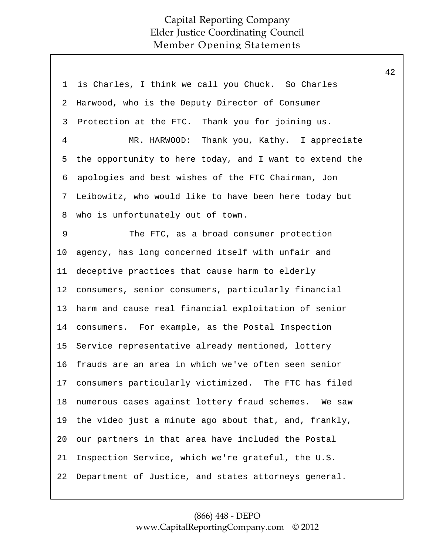| $\mathbf 1$    | is Charles, I think we call you Chuck. So Charles       |
|----------------|---------------------------------------------------------|
| $\overline{a}$ | Harwood, who is the Deputy Director of Consumer         |
| 3              | Protection at the FTC. Thank you for joining us.        |
| $\overline{4}$ | MR. HARWOOD: Thank you, Kathy. I appreciate             |
| 5              | the opportunity to here today, and I want to extend the |
| б              | apologies and best wishes of the FTC Chairman, Jon      |
| 7              | Leibowitz, who would like to have been here today but   |
| 8              | who is unfortunately out of town.                       |
| 9              | The FTC, as a broad consumer protection                 |
| 10             | agency, has long concerned itself with unfair and       |
| 11             | deceptive practices that cause harm to elderly          |
| 12             | consumers, senior consumers, particularly financial     |
| 13             | harm and cause real financial exploitation of senior    |
| 14             | consumers. For example, as the Postal Inspection        |
| 15             | Service representative already mentioned, lottery       |
| 16             | frauds are an area in which we've often seen senior     |
| 17             | consumers particularly victimized. The FTC has filed    |
| 18             | numerous cases against lottery fraud schemes. We saw    |
| 19             | the video just a minute ago about that, and, frankly,   |
| 20             | our partners in that area have included the Postal      |
| 21             | Inspection Service, which we're grateful, the U.S.      |
| 22             | Department of Justice, and states attorneys general.    |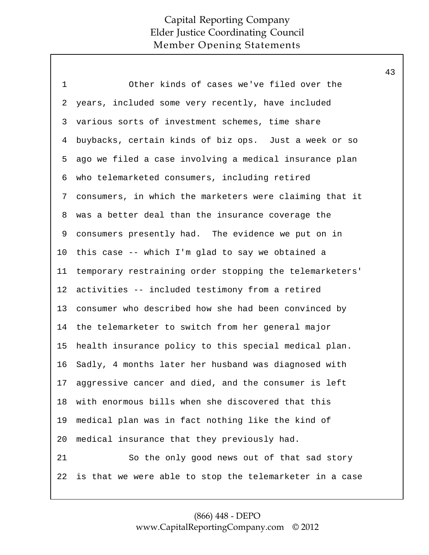1 Other kinds of cases we've filed over the years, included some very recently, have included various sorts of investment schemes, time share buybacks, certain kinds of biz ops. Just a week or so ago we filed a case involving a medical insurance plan who telemarketed consumers, including retired consumers, in which the marketers were claiming that it was a better deal than the insurance coverage the consumers presently had. The evidence we put on in this case -- which I'm glad to say we obtained a temporary restraining order stopping the telemarketers' activities -- included testimony from a retired consumer who described how she had been convinced by the telemarketer to switch from her general major health insurance policy to this special medical plan. Sadly, 4 months later her husband was diagnosed with aggressive cancer and died, and the consumer is left with enormous bills when she discovered that this medical plan was in fact nothing like the kind of medical insurance that they previously had. So the only good news out of that sad story is that we were able to stop the telemarketer in a case 2 3 4 5 6 7 8 9 10 11 12 13 14 15 16 17 18 19 20 21 22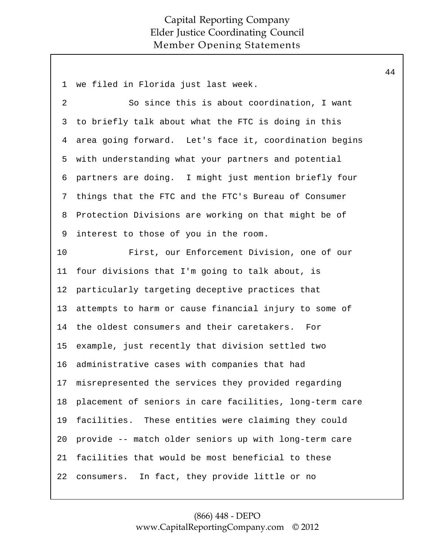1 we filed in Florida just last week. So since this is about coordination, I want to briefly talk about what the FTC is doing in this area going forward. Let's face it, coordination begins with understanding what your partners and potential partners are doing. I might just mention briefly four things that the FTC and the FTC's Bureau of Consumer Protection Divisions are working on that might be of interest to those of you in the room. First, our Enforcement Division, one of our four divisions that I'm going to talk about, is particularly targeting deceptive practices that attempts to harm or cause financial injury to some of the oldest consumers and their caretakers. For example, just recently that division settled two administrative cases with companies that had misrepresented the services they provided regarding placement of seniors in care facilities, long-term care facilities. These entities were claiming they could provide -- match older seniors up with long-term care facilities that would be most beneficial to these consumers. In fact, they provide little or no 2 3 4 5 6 7 8 9 10 11 12 13 14 15 16 17 18 19 20 21 22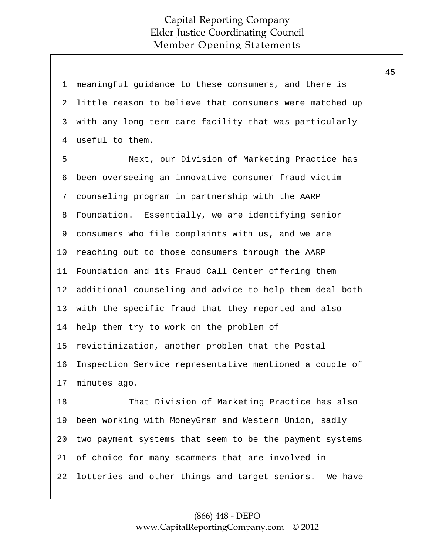| $\mathbf{1}$ | meaningful guidance to these consumers, and there is    |
|--------------|---------------------------------------------------------|
| 2            | little reason to believe that consumers were matched up |
| 3            | with any long-term care facility that was particularly  |
| 4            | useful to them.                                         |
| 5            | Next, our Division of Marketing Practice has            |
| 6            | been overseeing an innovative consumer fraud victim     |
| 7            | counseling program in partnership with the AARP         |
| 8            | Foundation. Essentially, we are identifying senior      |
| 9            | consumers who file complaints with us, and we are       |
| 10           | reaching out to those consumers through the AARP        |
| 11           | Foundation and its Fraud Call Center offering them      |
| 12           | additional counseling and advice to help them deal both |
| 13           | with the specific fraud that they reported and also     |
| 14           | help them try to work on the problem of                 |
| 15           | revictimization, another problem that the Postal        |
| 16           | Inspection Service representative mentioned a couple of |
| 17           | minutes ago.                                            |
| 18           | That Division of Marketing Practice has also            |
| 19           | been working with MoneyGram and Western Union, sadly    |
| 20           | two payment systems that seem to be the payment systems |
| 21           | of choice for many scammers that are involved in        |
| 22           | lotteries and other things and target seniors. We have  |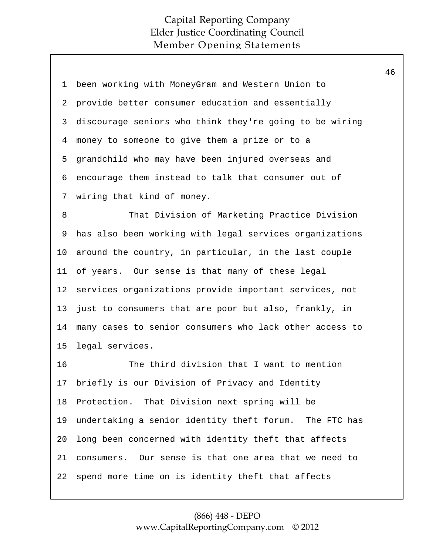| 1       | been working with MoneyGram and Western Union to        |
|---------|---------------------------------------------------------|
| 2       | provide better consumer education and essentially       |
| 3       | discourage seniors who think they're going to be wiring |
| 4       | money to someone to give them a prize or to a           |
| 5       | grandchild who may have been injured overseas and       |
| 6       | encourage them instead to talk that consumer out of     |
| 7       | wiring that kind of money.                              |
| 8       | That Division of Marketing Practice Division            |
| 9       | has also been working with legal services organizations |
| $10 \,$ | around the country, in particular, in the last couple   |
| 11      | of years. Our sense is that many of these legal         |
| 12      | services organizations provide important services, not  |
| 13      | just to consumers that are poor but also, frankly, in   |
| 14      | many cases to senior consumers who lack other access to |
| 15      | legal services.                                         |
| 16      | The third division that I want to mention               |
| 17      | briefly is our Division of Privacy and Identity         |
| 18      | Protection. That Division next spring will be           |
| 19      | undertaking a senior identity theft forum. The FTC has  |
| 20      | long been concerned with identity theft that affects    |
| 21      | consumers. Our sense is that one area that we need to   |
| 22      | spend more time on is identity theft that affects       |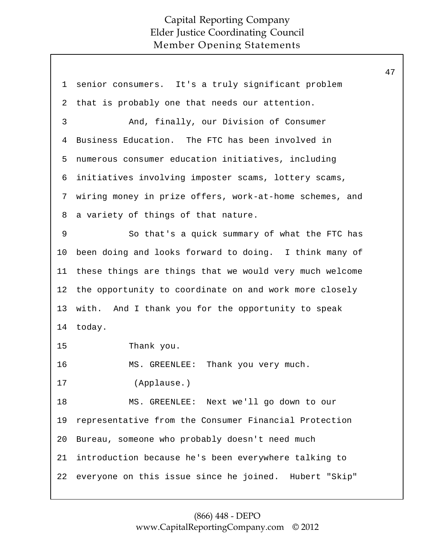| 1  | senior consumers. It's a truly significant problem      |
|----|---------------------------------------------------------|
| 2  | that is probably one that needs our attention.          |
| 3  | And, finally, our Division of Consumer                  |
| 4  | Business Education. The FTC has been involved in        |
| 5  | numerous consumer education initiatives, including      |
| 6  | initiatives involving imposter scams, lottery scams,    |
| 7  | wiring money in prize offers, work-at-home schemes, and |
| 8  | a variety of things of that nature.                     |
| 9  | So that's a quick summary of what the FTC has           |
| 10 | been doing and looks forward to doing. I think many of  |
| 11 | these things are things that we would very much welcome |
| 12 | the opportunity to coordinate on and work more closely  |
| 13 | with. And I thank you for the opportunity to speak      |
| 14 | today.                                                  |
| 15 | Thank you.                                              |
| 16 | Thank you very much.<br>MS. GREENLEE:                   |
| 17 | (Applause.)                                             |
| 18 | MS. GREENLEE: Next we'll go down to our                 |
| 19 | representative from the Consumer Financial Protection   |
| 20 | Bureau, someone who probably doesn't need much          |
| 21 | introduction because he's been everywhere talking to    |
| 22 | everyone on this issue since he joined. Hubert "Skip"   |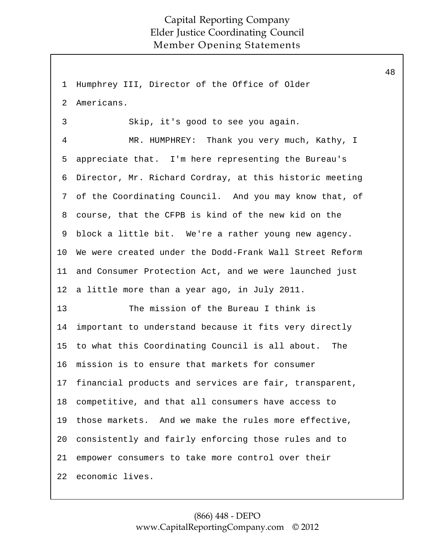1 Humphrey III, Director of the Office of Older Americans. Skip, it's good to see you again. MR. HUMPHREY: Thank you very much, Kathy, I appreciate that. I'm here representing the Bureau's Director, Mr. Richard Cordray, at this historic meeting of the Coordinating Council. And you may know that, of course, that the CFPB is kind of the new kid on the block a little bit. We're a rather young new agency. We were created under the Dodd-Frank Wall Street Reform and Consumer Protection Act, and we were launched just a little more than a year ago, in July 2011. The mission of the Bureau I think is important to understand because it fits very directly to what this Coordinating Council is all about. The mission is to ensure that markets for consumer financial products and services are fair, transparent, competitive, and that all consumers have access to those markets. And we make the rules more effective, consistently and fairly enforcing those rules and to empower consumers to take more control over their economic lives. 2 3 4 5 6 7 8 9 10 11 12 13 14 15 16 17 18 19 20 21 22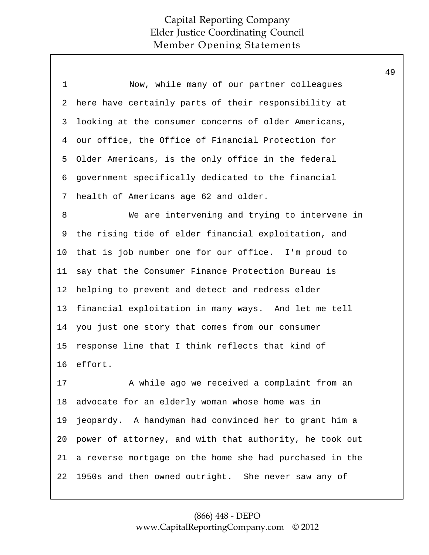| 1              | Now, while many of our partner colleagues               |
|----------------|---------------------------------------------------------|
| 2              | here have certainly parts of their responsibility at    |
| 3              | looking at the consumer concerns of older Americans,    |
| $\overline{4}$ | our office, the Office of Financial Protection for      |
| 5              | Older Americans, is the only office in the federal      |
| 6              | government specifically dedicated to the financial      |
| 7              | health of Americans age 62 and older.                   |
| 8              | We are intervening and trying to intervene in           |
| 9              | the rising tide of elder financial exploitation, and    |
| 10             | that is job number one for our office. I'm proud to     |
| 11             | say that the Consumer Finance Protection Bureau is      |
| 12             | helping to prevent and detect and redress elder         |
| 13             | financial exploitation in many ways. And let me tell    |
| 14             | you just one story that comes from our consumer         |
| 15             | response line that I think reflects that kind of        |
| 16             | effort.                                                 |
| 17             | A while ago we received a complaint from an             |
| 18             | advocate for an elderly woman whose home was in         |
| 19             | jeopardy. A handyman had convinced her to grant him a   |
| 20             | power of attorney, and with that authority, he took out |
| 21             | a reverse mortgage on the home she had purchased in the |
| 22             | 1950s and then owned outright. She never saw any of     |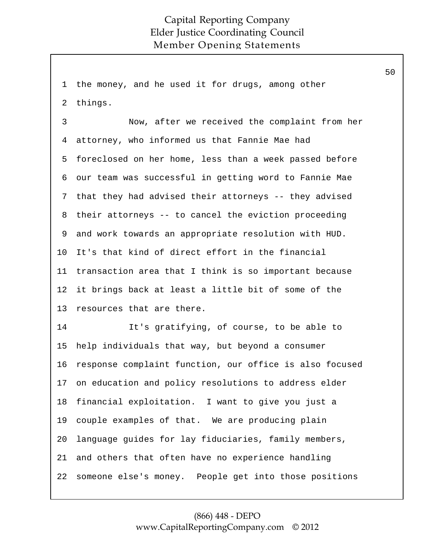1 the money, and he used it for drugs, among other things. 2

Now, after we received the complaint from her attorney, who informed us that Fannie Mae had foreclosed on her home, less than a week passed before our team was successful in getting word to Fannie Mae that they had advised their attorneys -- they advised their attorneys -- to cancel the eviction proceeding and work towards an appropriate resolution with HUD. It's that kind of direct effort in the financial transaction area that I think is so important because it brings back at least a little bit of some of the resources that are there. 3 4 5 6 7 8 9 10 11 12 13

It's gratifying, of course, to be able to help individuals that way, but beyond a consumer response complaint function, our office is also focused on education and policy resolutions to address elder financial exploitation. I want to give you just a couple examples of that. We are producing plain language guides for lay fiduciaries, family members, and others that often have no experience handling someone else's money. People get into those positions 14 15 16 17 18 19 20 21 22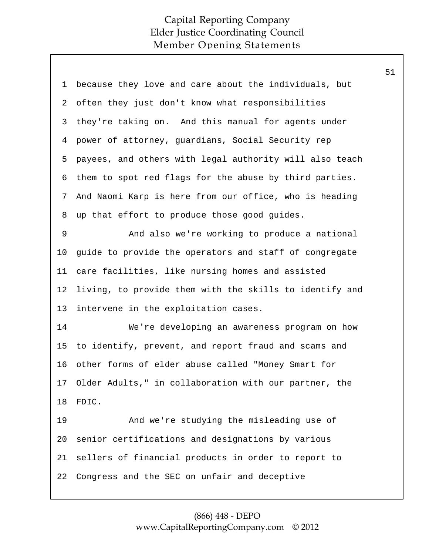| 1  | because they love and care about the individuals, but   |
|----|---------------------------------------------------------|
| 2  | often they just don't know what responsibilities        |
| 3  | they're taking on. And this manual for agents under     |
| 4  | power of attorney, guardians, Social Security rep       |
| 5  | payees, and others with legal authority will also teach |
| 6  | them to spot red flags for the abuse by third parties.  |
| 7  | And Naomi Karp is here from our office, who is heading  |
| 8  | up that effort to produce those good guides.            |
| 9  | And also we're working to produce a national            |
| 10 | guide to provide the operators and staff of congregate  |
| 11 | care facilities, like nursing homes and assisted        |
| 12 | living, to provide them with the skills to identify and |
| 13 | intervene in the exploitation cases.                    |
| 14 | We're developing an awareness program on how            |
| 15 | to identify, prevent, and report fraud and scams and    |
| 16 | other forms of elder abuse called "Money Smart for      |
| 17 | Older Adults," in collaboration with our partner, the   |
| 18 | FDIC.                                                   |
| 19 | And we're studying the misleading use of                |
| 20 | senior certifications and designations by various       |
| 21 | sellers of financial products in order to report to     |
| 22 | Congress and the SEC on unfair and deceptive            |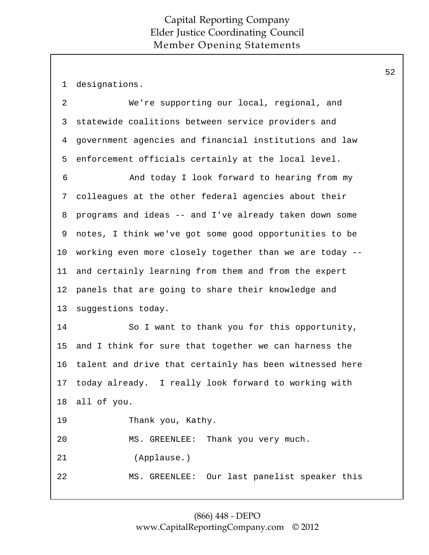1 designations.

| $\overline{2}$ | We're supporting our local, regional, and               |
|----------------|---------------------------------------------------------|
| 3              | statewide coalitions between service providers and      |
| 4              | government agencies and financial institutions and law  |
| 5              | enforcement officials certainly at the local level.     |
| 6              | And today I look forward to hearing from my             |
| 7              | colleagues at the other federal agencies about their    |
| 8              | programs and ideas -- and I've already taken down some  |
| 9              | notes, I think we've got some good opportunities to be  |
| 10             | working even more closely together than we are today -- |
| 11             | and certainly learning from them and from the expert    |
| 12             | panels that are going to share their knowledge and      |
| 13             | suggestions today.                                      |
| 14             | So I want to thank you for this opportunity,            |
| 15             | and I think for sure that together we can harness the   |
| 16             | talent and drive that certainly has been witnessed here |
| 17             | today already. I really look forward to working with    |
| 18             | all of you.                                             |
| 19             | Thank you, Kathy.                                       |
| 20             | MS. GREENLEE: Thank you very much.                      |
| 21             | (Applause.)                                             |
| 22             | MS. GREENLEE: Our last panelist speaker this            |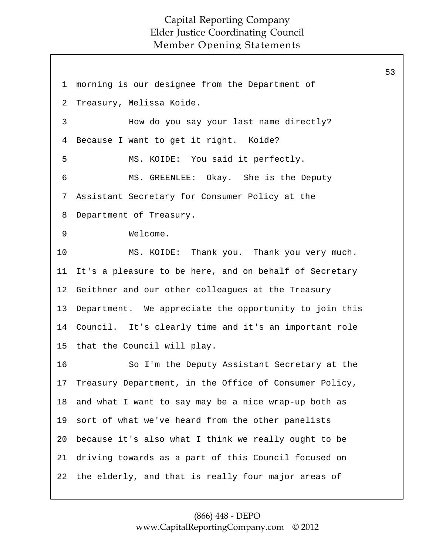53

1 morning is our designee from the Department of Treasury, Melissa Koide. How do you say your last name directly? Because I want to get it right. Koide? MS. KOIDE: You said it perfectly. MS. GREENLEE: Okay. She is the Deputy Assistant Secretary for Consumer Policy at the Department of Treasury. Welcome. MS. KOIDE: Thank you. Thank you very much. It's a pleasure to be here, and on behalf of Secretary Geithner and our other colleagues at the Treasury Department. We appreciate the opportunity to join this Council. It's clearly time and it's an important role that the Council will play. So I'm the Deputy Assistant Secretary at the Treasury Department, in the Office of Consumer Policy, and what I want to say may be a nice wrap-up both as sort of what we've heard from the other panelists because it's also what I think we really ought to be driving towards as a part of this Council focused on the elderly, and that is really four major areas of 2 3 4 5 6 7 8 9 10 11 12 13 14 15 16 17 18 19 20 21 22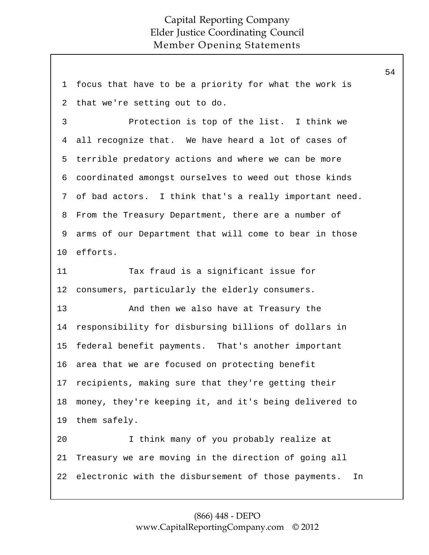1 focus that have to be a priority for what the work is that we're setting out to do. Protection is top of the list. I think we all recognize that. We have heard a lot of cases of terrible predatory actions and where we can be more coordinated amongst ourselves to weed out those kinds of bad actors. I think that's a really important need. From the Treasury Department, there are a number of arms of our Department that will come to bear in those efforts. Tax fraud is a significant issue for consumers, particularly the elderly consumers. And then we also have at Treasury the responsibility for disbursing billions of dollars in federal benefit payments. That's another important area that we are focused on protecting benefit recipients, making sure that they're getting their money, they're keeping it, and it's being delivered to them safely. I think many of you probably realize at Treasury we are moving in the direction of going all electronic with the disbursement of those payments. In 2 3 4 5 6 7 8 9 10 11 12 13 14 15 16 17 18 19 20 21 22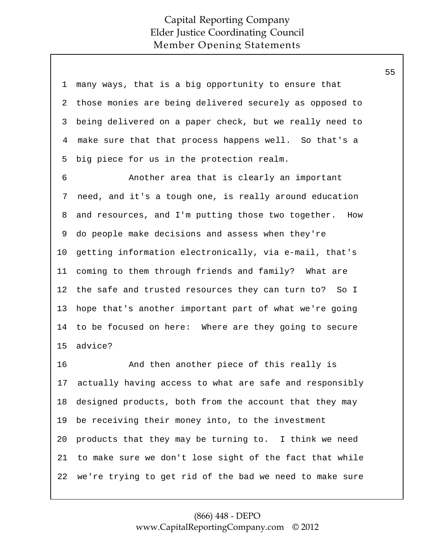| $\mathbf 1$ | many ways, that is a big opportunity to ensure that       |
|-------------|-----------------------------------------------------------|
| 2           | those monies are being delivered securely as opposed to   |
| 3           | being delivered on a paper check, but we really need to   |
| 4           | make sure that that process happens well. So that's a     |
| 5           | big piece for us in the protection realm.                 |
| 6           | Another area that is clearly an important                 |
| 7           | need, and it's a tough one, is really around education    |
| 8           | and resources, and I'm putting those two together.<br>How |
| 9           | do people make decisions and assess when they're          |
| $10 \,$     | getting information electronically, via e-mail, that's    |
| 11          | coming to them through friends and family? What are       |
| 12          | the safe and trusted resources they can turn to? So I     |
| 13          | hope that's another important part of what we're going    |
| 14          | to be focused on here: Where are they going to secure     |
| 15          | advice?                                                   |
| 16          | And then another piece of this really is                  |
| 17          | actually having access to what are safe and responsibly   |
| 18          | designed products, both from the account that they may    |
| 19          | be receiving their money into, to the investment          |
| 20          | products that they may be turning to. I think we need     |
| 21          | to make sure we don't lose sight of the fact that while   |

we're trying to get rid of the bad we need to make sure 22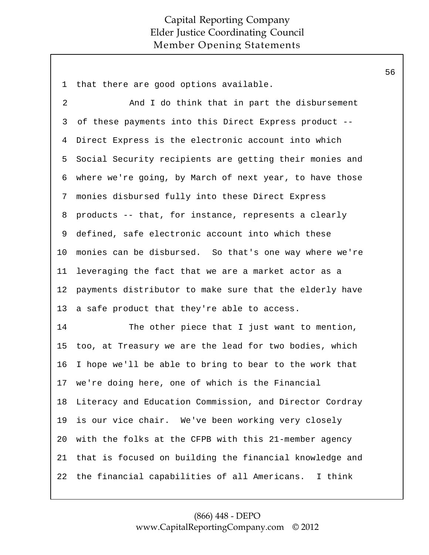1 that there are good options available.

And I do think that in part the disbursement of these payments into this Direct Express product -- Direct Express is the electronic account into which Social Security recipients are getting their monies and where we're going, by March of next year, to have those monies disbursed fully into these Direct Express products -- that, for instance, represents a clearly defined, safe electronic account into which these monies can be disbursed. So that's one way where we're leveraging the fact that we are a market actor as a payments distributor to make sure that the elderly have a safe product that they're able to access. 2 3 4 5 6 7 8 9 10 11 12 13

The other piece that I just want to mention, too, at Treasury we are the lead for two bodies, which I hope we'll be able to bring to bear to the work that we're doing here, one of which is the Financial Literacy and Education Commission, and Director Cordray is our vice chair. We've been working very closely with the folks at the CFPB with this 21-member agency that is focused on building the financial knowledge and the financial capabilities of all Americans. I think 14 15 16 17 18 19 20 21 22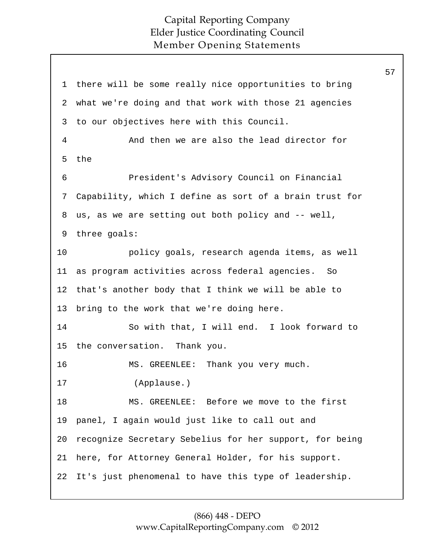57

1 there will be some really nice opportunities to bring what we're doing and that work with those 21 agencies to our objectives here with this Council. And then we are also the lead director for the President's Advisory Council on Financial Capability, which I define as sort of a brain trust for us, as we are setting out both policy and -- well, three goals: policy goals, research agenda items, as well as program activities across federal agencies. So that's another body that I think we will be able to bring to the work that we're doing here. So with that, I will end. I look forward to the conversation. Thank you. MS. GREENLEE: Thank you very much. (Applause.) MS. GREENLEE: Before we move to the first panel, I again would just like to call out and recognize Secretary Sebelius for her support, for being here, for Attorney General Holder, for his support. It's just phenomenal to have this type of leadership. 2 3 4 5 6 7 8 9 10 11 12 13 14 15 16 17 18 19 20 21 22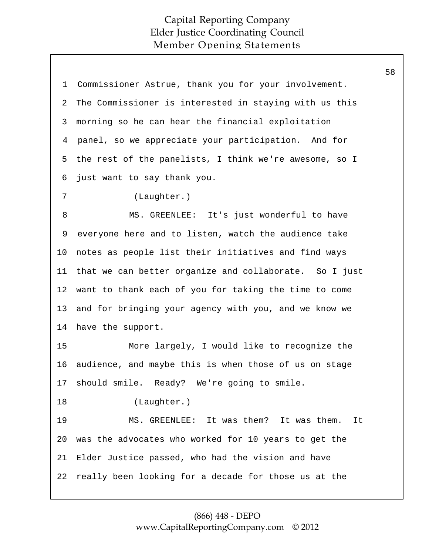| 1  | Commissioner Astrue, thank you for your involvement.   |
|----|--------------------------------------------------------|
| 2  | The Commissioner is interested in staying with us this |
| 3  | morning so he can hear the financial exploitation      |
| 4  | panel, so we appreciate your participation. And for    |
| 5  | the rest of the panelists, I think we're awesome, so I |
| 6  | just want to say thank you.                            |
| 7  | (Laughter.)                                            |
| 8  | MS. GREENLEE: It's just wonderful to have              |
| 9  | everyone here and to listen, watch the audience take   |
| 10 | notes as people list their initiatives and find ways   |
| 11 | that we can better organize and collaborate. So I just |
| 12 | want to thank each of you for taking the time to come  |
| 13 | and for bringing your agency with you, and we know we  |
| 14 | have the support.                                      |
| 15 | More largely, I would like to recognize the            |
| 16 | audience, and maybe this is when those of us on stage  |
| 17 | should smile. Ready? We're going to smile.             |
| 18 | (Laughter.)                                            |
| 19 | MS. GREENLEE: It was them? It was them.<br>It          |
| 20 | was the advocates who worked for 10 years to get the   |
| 21 | Elder Justice passed, who had the vision and have      |
| 22 | really been looking for a decade for those us at the   |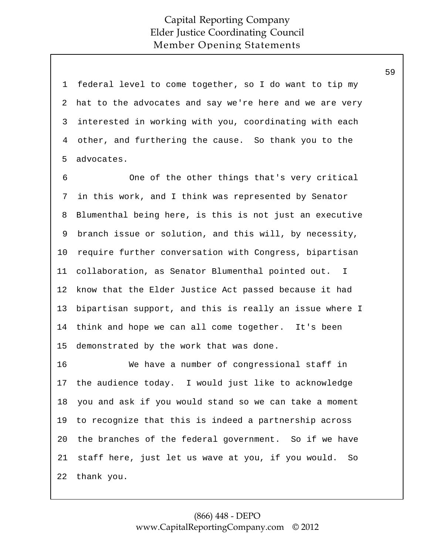1 federal level to come together, so I do want to tip my hat to the advocates and say we're here and we are very interested in working with you, coordinating with each other, and furthering the cause. So thank you to the advocates. 2 3 4 5

One of the other things that's very critical in this work, and I think was represented by Senator Blumenthal being here, is this is not just an executive branch issue or solution, and this will, by necessity, require further conversation with Congress, bipartisan collaboration, as Senator Blumenthal pointed out. I know that the Elder Justice Act passed because it had bipartisan support, and this is really an issue where I think and hope we can all come together. It's been demonstrated by the work that was done. 6 7 8 9 10 11 12 13 14 15

We have a number of congressional staff in the audience today. I would just like to acknowledge you and ask if you would stand so we can take a moment to recognize that this is indeed a partnership across the branches of the federal government. So if we have staff here, just let us wave at you, if you would. So thank you. 16 17 18 19 20 21 22